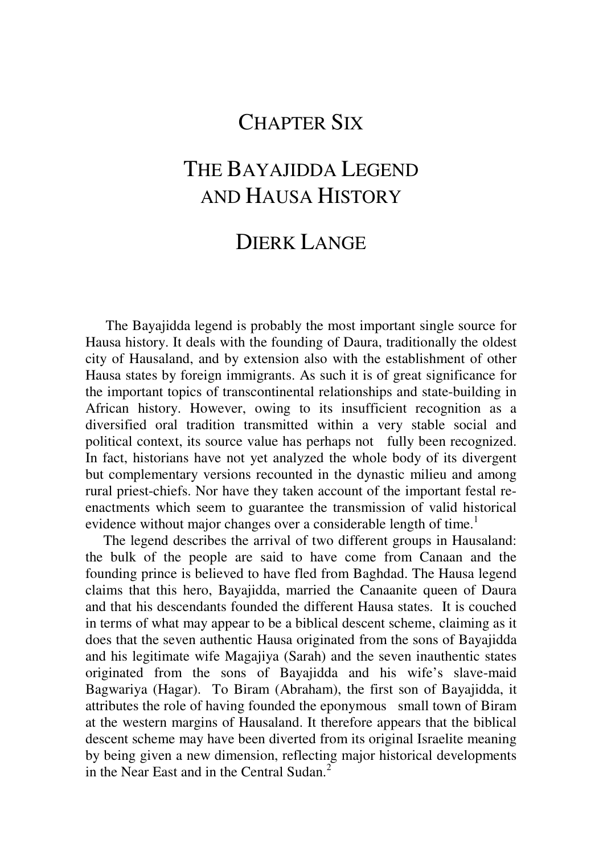## CHAPTER SIX

# THE BAYAJIDDA LEGEND AND HAUSA HISTORY

## DIERK LANGE

The Bayajidda legend is probably the most important single source for Hausa history. It deals with the founding of Daura, traditionally the oldest city of Hausaland, and by extension also with the establishment of other Hausa states by foreign immigrants. As such it is of great significance for the important topics of transcontinental relationships and state-building in African history. However, owing to its insufficient recognition as a diversified oral tradition transmitted within a very stable social and political context, its source value has perhaps not fully been recognized. In fact, historians have not yet analyzed the whole body of its divergent but complementary versions recounted in the dynastic milieu and among rural priest-chiefs. Nor have they taken account of the important festal reenactments which seem to guarantee the transmission of valid historical evidence without major changes over a considerable length of time.<sup>1</sup>

 The legend describes the arrival of two different groups in Hausaland: the bulk of the people are said to have come from Canaan and the founding prince is believed to have fled from Baghdad. The Hausa legend claims that this hero, Bayajidda, married the Canaanite queen of Daura and that his descendants founded the different Hausa states. It is couched in terms of what may appear to be a biblical descent scheme, claiming as it does that the seven authentic Hausa originated from the sons of Bayajidda and his legitimate wife Magajiya (Sarah) and the seven inauthentic states originated from the sons of Bayajidda and his wife's slave-maid Bagwariya (Hagar). To Biram (Abraham), the first son of Bayajidda, it attributes the role of having founded the eponymous small town of Biram at the western margins of Hausaland. It therefore appears that the biblical descent scheme may have been diverted from its original Israelite meaning by being given a new dimension, reflecting major historical developments in the Near East and in the Central Sudan.<sup>2</sup>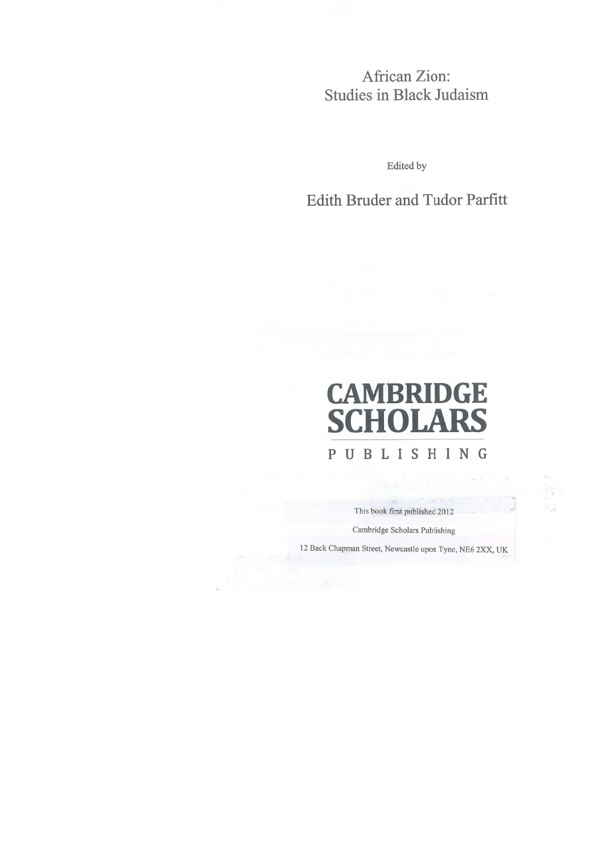# African Zion: **Studies in Black Judaism**

Edited by

# **Edith Bruder and Tudor Parfitt**

# **CAMBRIDGE SCHOLARS** PUBLISHING

This book first published 2012

Cambridge Scholars Publishing

12 Back Chapman Street, Newcastle upon Tyne, NE6 2XX, UK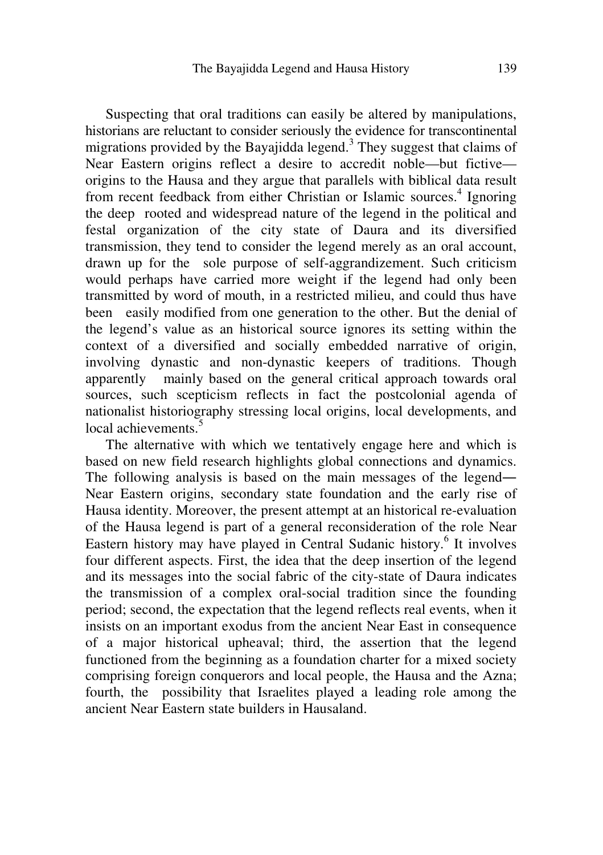Suspecting that oral traditions can easily be altered by manipulations, historians are reluctant to consider seriously the evidence for transcontinental migrations provided by the Bayajidda legend. $3$  They suggest that claims of Near Eastern origins reflect a desire to accredit noble—but fictive origins to the Hausa and they argue that parallels with biblical data result from recent feedback from either Christian or Islamic sources.<sup>4</sup> Ignoring the deep rooted and widespread nature of the legend in the political and festal organization of the city state of Daura and its diversified transmission, they tend to consider the legend merely as an oral account, drawn up for the sole purpose of self-aggrandizement. Such criticism would perhaps have carried more weight if the legend had only been transmitted by word of mouth, in a restricted milieu, and could thus have been easily modified from one generation to the other. But the denial of the legend's value as an historical source ignores its setting within the context of a diversified and socially embedded narrative of origin, involving dynastic and non-dynastic keepers of traditions. Though apparently mainly based on the general critical approach towards oral sources, such scepticism reflects in fact the postcolonial agenda of nationalist historiography stressing local origins, local developments, and local achievements.<sup>5</sup>

The alternative with which we tentatively engage here and which is based on new field research highlights global connections and dynamics. The following analysis is based on the main messages of the legend― Near Eastern origins, secondary state foundation and the early rise of Hausa identity. Moreover, the present attempt at an historical re-evaluation of the Hausa legend is part of a general reconsideration of the role Near Eastern history may have played in Central Sudanic history.<sup>6</sup> It involves four different aspects. First, the idea that the deep insertion of the legend and its messages into the social fabric of the city-state of Daura indicates the transmission of a complex oral-social tradition since the founding period; second, the expectation that the legend reflects real events, when it insists on an important exodus from the ancient Near East in consequence of a major historical upheaval; third, the assertion that the legend functioned from the beginning as a foundation charter for a mixed society comprising foreign conquerors and local people, the Hausa and the Azna; fourth, the possibility that Israelites played a leading role among the ancient Near Eastern state builders in Hausaland.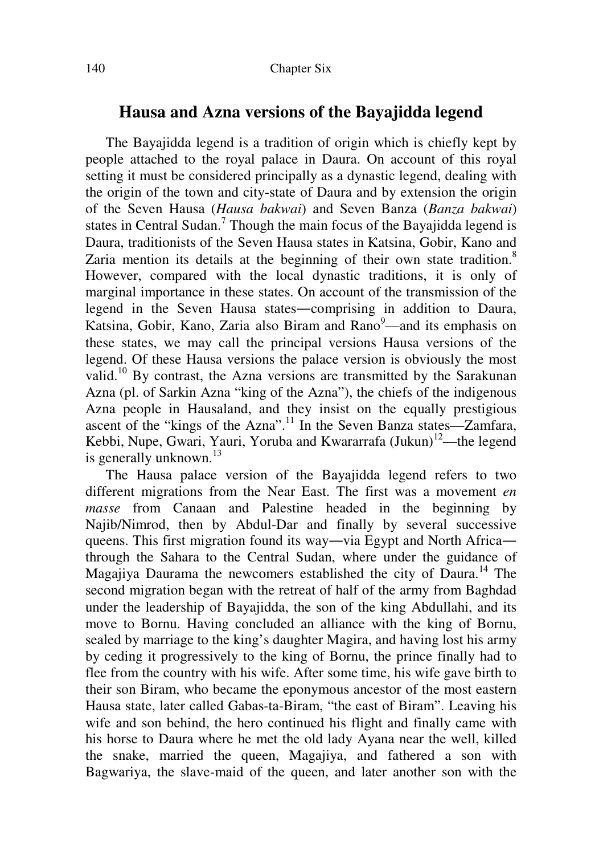#### **Hausa and Azna versions of the Bayajidda legend**

The Bayajidda legend is a tradition of origin which is chiefly kept by people attached to the royal palace in Daura. On account of this royal setting it must be considered principally as a dynastic legend, dealing with the origin of the town and city-state of Daura and by extension the origin of the Seven Hausa (*Hausa bakwai*) and Seven Banza (*Banza bakwai*) states in Central Sudan.<sup>7</sup> Though the main focus of the Bayajidda legend is Daura, traditionists of the Seven Hausa states in Katsina, Gobir, Kano and Zaria mention its details at the beginning of their own state tradition.<sup>8</sup> However, compared with the local dynastic traditions, it is only of marginal importance in these states. On account of the transmission of the legend in the Seven Hausa states―comprising in addition to Daura, Katsina, Gobir, Kano, Zaria also Biram and Rano<sup>9</sup>—and its emphasis on these states, we may call the principal versions Hausa versions of the legend. Of these Hausa versions the palace version is obviously the most valid.<sup>10</sup> By contrast, the Azna versions are transmitted by the Sarakunan Azna (pl. of Sarkin Azna "king of the Azna"), the chiefs of the indigenous Azna people in Hausaland, and they insist on the equally prestigious ascent of the "kings of the Azna".<sup>11</sup> In the Seven Banza states—Zamfara, Kebbi, Nupe, Gwari, Yauri, Yoruba and Kwararrafa (Jukun)<sup>12</sup>—the legend is generally unknown.<sup>13</sup>

The Hausa palace version of the Bayajidda legend refers to two different migrations from the Near East. The first was a movement *en masse* from Canaan and Palestine headed in the beginning by Najib/Nimrod, then by Abdul-Dar and finally by several successive queens. This first migration found its way―via Egypt and North Africa― through the Sahara to the Central Sudan, where under the guidance of Magajiya Daurama the newcomers established the city of Daura.<sup>14</sup> The second migration began with the retreat of half of the army from Baghdad under the leadership of Bayajidda, the son of the king Abdullahi, and its move to Bornu. Having concluded an alliance with the king of Bornu, sealed by marriage to the king's daughter Magira, and having lost his army by ceding it progressively to the king of Bornu, the prince finally had to flee from the country with his wife. After some time, his wife gave birth to their son Biram, who became the eponymous ancestor of the most eastern Hausa state, later called Gabas-ta-Biram, "the east of Biram". Leaving his wife and son behind, the hero continued his flight and finally came with his horse to Daura where he met the old lady Ayana near the well, killed the snake, married the queen, Magajiya, and fathered a son with Bagwariya, the slave-maid of the queen, and later another son with the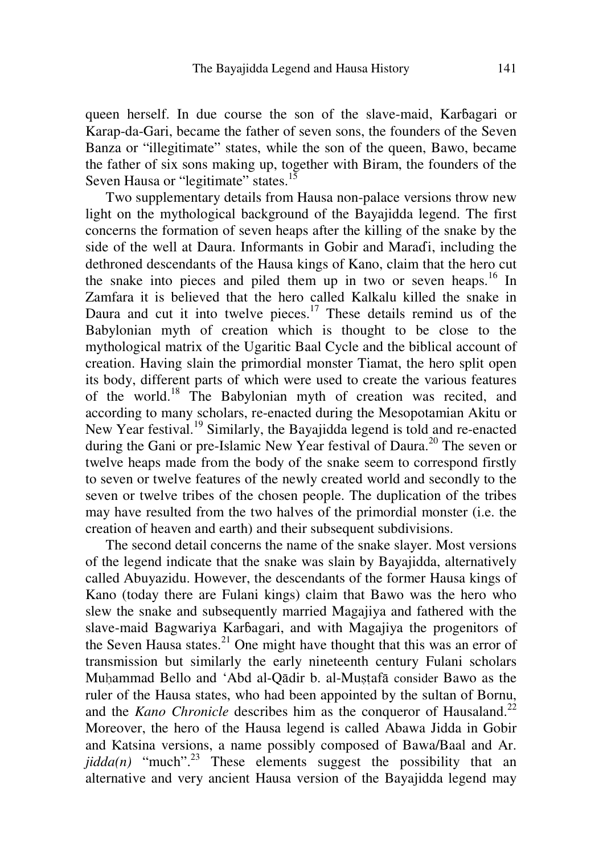queen herself. In due course the son of the slave-maid, Karbagari or Karap-da-Gari, became the father of seven sons, the founders of the Seven Banza or "illegitimate" states, while the son of the queen, Bawo, became the father of six sons making up, together with Biram, the founders of the Seven Hausa or "legitimate" states.<sup>13</sup>

Two supplementary details from Hausa non-palace versions throw new light on the mythological background of the Bayajidda legend. The first concerns the formation of seven heaps after the killing of the snake by the side of the well at Daura. Informants in Gobir and Marafi, including the dethroned descendants of the Hausa kings of Kano, claim that the hero cut the snake into pieces and piled them up in two or seven heaps.<sup>16</sup> In Zamfara it is believed that the hero called Kalkalu killed the snake in Daura and cut it into twelve pieces.<sup>17</sup> These details remind us of the Babylonian myth of creation which is thought to be close to the mythological matrix of the Ugaritic Baal Cycle and the biblical account of creation. Having slain the primordial monster Tiamat, the hero split open its body, different parts of which were used to create the various features of the world.<sup>18</sup> The Babylonian myth of creation was recited, and according to many scholars, re-enacted during the Mesopotamian Akitu or New Year festival.<sup>19</sup> Similarly, the Bayajidda legend is told and re-enacted during the Gani or pre-Islamic New Year festival of Daura.<sup>20</sup> The seven or twelve heaps made from the body of the snake seem to correspond firstly to seven or twelve features of the newly created world and secondly to the seven or twelve tribes of the chosen people. The duplication of the tribes may have resulted from the two halves of the primordial monster (i.e. the creation of heaven and earth) and their subsequent subdivisions.

The second detail concerns the name of the snake slayer. Most versions of the legend indicate that the snake was slain by Bayajidda, alternatively called Abuyazidu. However, the descendants of the former Hausa kings of Kano (today there are Fulani kings) claim that Bawo was the hero who slew the snake and subsequently married Magajiya and fathered with the slave-maid Bagwariya Karbagari, and with Magajiya the progenitors of the Seven Hausa states.<sup>21</sup> One might have thought that this was an error of transmission but similarly the early nineteenth century Fulani scholars Muhammad Bello and 'Abd al-Qādir b. al-Mustafā consider Bawo as the ruler of the Hausa states, who had been appointed by the sultan of Bornu, and the *Kano Chronicle* describes him as the conqueror of Hausaland.<sup>22</sup> Moreover, the hero of the Hausa legend is called Abawa Jidda in Gobir and Katsina versions, a name possibly composed of Bawa/Baal and Ar.  $\text{jidda}(n)$  "much".<sup>23</sup> These elements suggest the possibility that an alternative and very ancient Hausa version of the Bayajidda legend may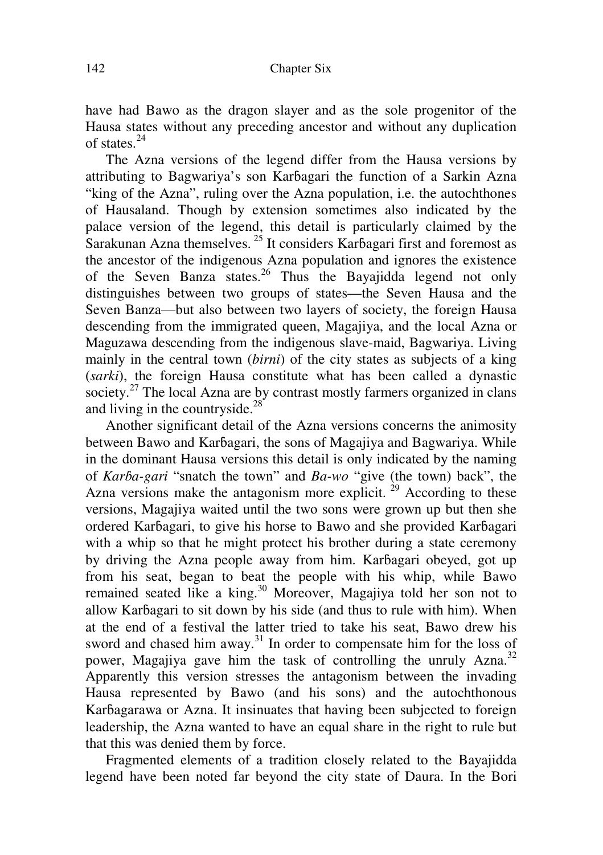have had Bawo as the dragon slayer and as the sole progenitor of the Hausa states without any preceding ancestor and without any duplication of states<sup>24</sup>

The Azna versions of the legend differ from the Hausa versions by attributing to Bagwariya's son Karbagari the function of a Sarkin Azna "king of the Azna", ruling over the Azna population, i.e. the autochthones of Hausaland. Though by extension sometimes also indicated by the palace version of the legend, this detail is particularly claimed by the Sarakunan Azna themselves.<sup>25</sup> It considers Karbagari first and foremost as the ancestor of the indigenous Azna population and ignores the existence of the Seven Banza states.<sup>26</sup> Thus the Bayajidda legend not only distinguishes between two groups of states—the Seven Hausa and the Seven Banza—but also between two layers of society, the foreign Hausa descending from the immigrated queen, Magajiya, and the local Azna or Maguzawa descending from the indigenous slave-maid, Bagwariya. Living mainly in the central town (*birni*) of the city states as subjects of a king (*sarki*), the foreign Hausa constitute what has been called a dynastic society.<sup>27</sup> The local Azna are by contrast mostly farmers organized in clans and living in the countryside. $28^\circ$ 

Another significant detail of the Azna versions concerns the animosity between Bawo and Karbagari, the sons of Magajiya and Bagwariya. While in the dominant Hausa versions this detail is only indicated by the naming of *Kar*b*a-gari* "snatch the town" and *Ba-wo* "give (the town) back", the Azna versions make the antagonism more explicit.<sup>29</sup> According to these versions, Magajiya waited until the two sons were grown up but then she ordered Karbagari, to give his horse to Bawo and she provided Karbagari with a whip so that he might protect his brother during a state ceremony by driving the Azna people away from him. Karbagari obeyed, got up from his seat, began to beat the people with his whip, while Bawo remained seated like a king.<sup>30</sup> Moreover, Magajiya told her son not to allow Karbagari to sit down by his side (and thus to rule with him). When at the end of a festival the latter tried to take his seat, Bawo drew his sword and chased him away. $31$  In order to compensate him for the loss of power, Magajiya gave him the task of controlling the unruly Azna.<sup>32</sup> Apparently this version stresses the antagonism between the invading Hausa represented by Bawo (and his sons) and the autochthonous Karbagarawa or Azna. It insinuates that having been subjected to foreign leadership, the Azna wanted to have an equal share in the right to rule but that this was denied them by force.

Fragmented elements of a tradition closely related to the Bayajidda legend have been noted far beyond the city state of Daura. In the Bori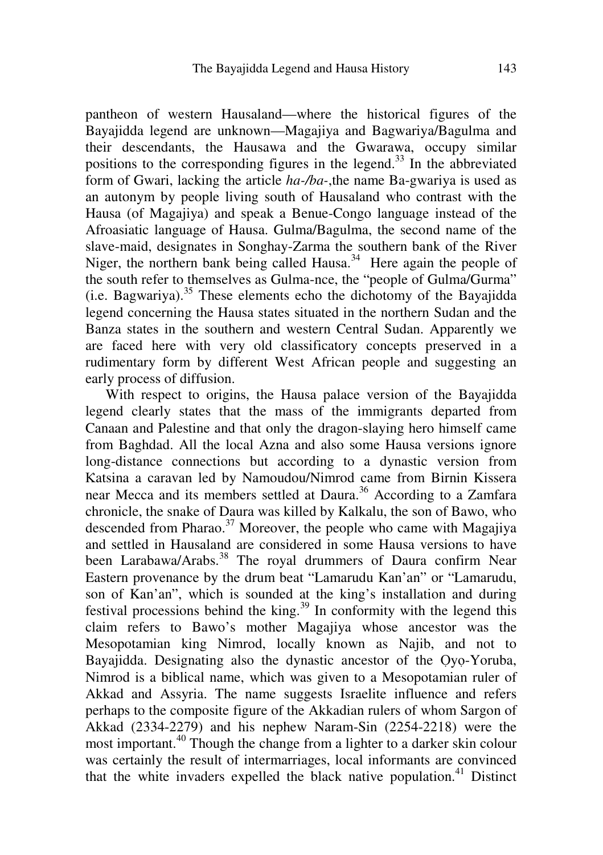pantheon of western Hausaland—where the historical figures of the Bayajidda legend are unknown—Magajiya and Bagwariya/Bagulma and their descendants, the Hausawa and the Gwarawa, occupy similar positions to the corresponding figures in the legend.<sup>33</sup> In the abbreviated form of Gwari, lacking the article *ha-/ba-*,the name Ba-gwariya is used as an autonym by people living south of Hausaland who contrast with the Hausa (of Magajiya) and speak a Benue-Congo language instead of the Afroasiatic language of Hausa. Gulma/Bagulma, the second name of the slave-maid, designates in Songhay-Zarma the southern bank of the River Niger, the northern bank being called Hausa.<sup>34</sup> Here again the people of the south refer to themselves as Gulma-nce, the "people of Gulma/Gurma"  $(i.e.$  Bagwariya).<sup>35</sup> These elements echo the dichotomy of the Bayajidda legend concerning the Hausa states situated in the northern Sudan and the Banza states in the southern and western Central Sudan. Apparently we are faced here with very old classificatory concepts preserved in a rudimentary form by different West African people and suggesting an early process of diffusion.

With respect to origins, the Hausa palace version of the Bayajidda legend clearly states that the mass of the immigrants departed from Canaan and Palestine and that only the dragon-slaying hero himself came from Baghdad. All the local Azna and also some Hausa versions ignore long-distance connections but according to a dynastic version from Katsina a caravan led by Namoudou/Nimrod came from Birnin Kissera near Mecca and its members settled at Daura.<sup>36</sup> According to a Zamfara chronicle, the snake of Daura was killed by Kalkalu, the son of Bawo, who descended from Pharao.<sup>37</sup> Moreover, the people who came with Magajiya and settled in Hausaland are considered in some Hausa versions to have been Larabawa/Arabs.<sup>38</sup> The royal drummers of Daura confirm Near Eastern provenance by the drum beat "Lamarudu Kan'an" or "Lamarudu, son of Kan'an", which is sounded at the king's installation and during festival processions behind the king. $39$  In conformity with the legend this claim refers to Bawo's mother Magajiya whose ancestor was the Mesopotamian king Nimrod, locally known as Najib, and not to Bayajidda. Designating also the dynastic ancestor of the Oyo-Yoruba, Nimrod is a biblical name, which was given to a Mesopotamian ruler of Akkad and Assyria. The name suggests Israelite influence and refers perhaps to the composite figure of the Akkadian rulers of whom Sargon of Akkad (2334-2279) and his nephew Naram-Sin (2254-2218) were the most important.<sup>40</sup> Though the change from a lighter to a darker skin colour was certainly the result of intermarriages, local informants are convinced that the white invaders expelled the black native population.<sup>41</sup> Distinct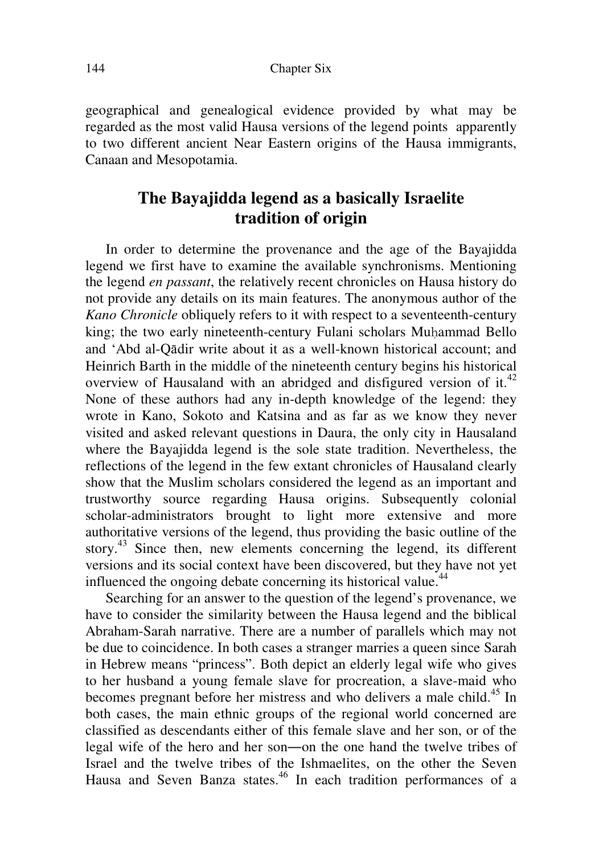geographical and genealogical evidence provided by what may be regarded as the most valid Hausa versions of the legend points apparently to two different ancient Near Eastern origins of the Hausa immigrants, Canaan and Mesopotamia.

#### **The Bayajidda legend as a basically Israelite tradition of origin**

In order to determine the provenance and the age of the Bayajidda legend we first have to examine the available synchronisms. Mentioning the legend *en passant*, the relatively recent chronicles on Hausa history do not provide any details on its main features. The anonymous author of the *Kano Chronicle* obliquely refers to it with respect to a seventeenth-century king; the two early nineteenth-century Fulani scholars Muhammad Bello and 'Abd al-Q1dir write about it as a well-known historical account; and Heinrich Barth in the middle of the nineteenth century begins his historical overview of Hausaland with an abridged and disfigured version of it.<sup>42</sup> None of these authors had any in-depth knowledge of the legend: they wrote in Kano, Sokoto and Katsina and as far as we know they never visited and asked relevant questions in Daura, the only city in Hausaland where the Bayajidda legend is the sole state tradition. Nevertheless, the reflections of the legend in the few extant chronicles of Hausaland clearly show that the Muslim scholars considered the legend as an important and trustworthy source regarding Hausa origins. Subsequently colonial scholar-administrators brought to light more extensive and more authoritative versions of the legend, thus providing the basic outline of the story.<sup>43</sup> Since then, new elements concerning the legend, its different versions and its social context have been discovered, but they have not yet influenced the ongoing debate concerning its historical value.<sup>44</sup>

Searching for an answer to the question of the legend's provenance, we have to consider the similarity between the Hausa legend and the biblical Abraham-Sarah narrative. There are a number of parallels which may not be due to coincidence. In both cases a stranger marries a queen since Sarah in Hebrew means "princess". Both depict an elderly legal wife who gives to her husband a young female slave for procreation, a slave-maid who becomes pregnant before her mistress and who delivers a male child.<sup>45</sup> In both cases, the main ethnic groups of the regional world concerned are classified as descendants either of this female slave and her son, or of the legal wife of the hero and her son―on the one hand the twelve tribes of Israel and the twelve tribes of the Ishmaelites, on the other the Seven Hausa and Seven Banza states.<sup>46</sup> In each tradition performances of a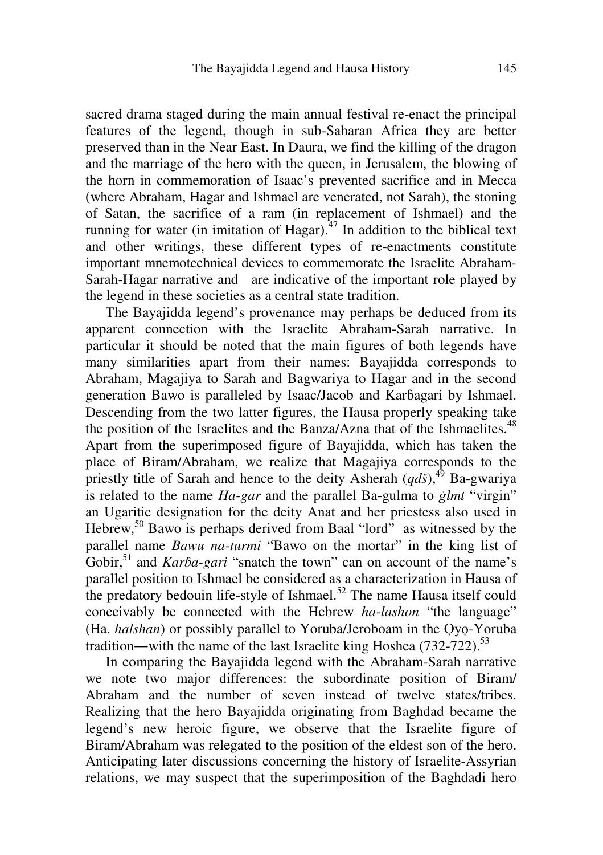sacred drama staged during the main annual festival re-enact the principal features of the legend, though in sub-Saharan Africa they are better preserved than in the Near East. In Daura, we find the killing of the dragon and the marriage of the hero with the queen, in Jerusalem, the blowing of the horn in commemoration of Isaac's prevented sacrifice and in Mecca (where Abraham, Hagar and Ishmael are venerated, not Sarah), the stoning of Satan, the sacrifice of a ram (in replacement of Ishmael) and the running for water (in imitation of Hagar). $^{47}$  In addition to the biblical text and other writings, these different types of re-enactments constitute important mnemotechnical devices to commemorate the Israelite Abraham-Sarah-Hagar narrative and are indicative of the important role played by the legend in these societies as a central state tradition.

The Bayajidda legend's provenance may perhaps be deduced from its apparent connection with the Israelite Abraham-Sarah narrative. In particular it should be noted that the main figures of both legends have many similarities apart from their names: Bayajidda corresponds to Abraham, Magajiya to Sarah and Bagwariya to Hagar and in the second generation Bawo is paralleled by Isaac/Jacob and Karbagari by Ishmael. Descending from the two latter figures, the Hausa properly speaking take the position of the Israelites and the Banza/Azna that of the Ishmaelites.<sup>48</sup> Apart from the superimposed figure of Bayajidda, which has taken the place of Biram/Abraham, we realize that Magajiya corresponds to the priestly title of Sarah and hence to the deity Asherah  $\left(qd\zeta\right)$ ,<sup>49</sup> Ba-gwariya is related to the name *Ha-gar* and the parallel Ba-gulma to g*lmt* "virgin" an Ugaritic designation for the deity Anat and her priestess also used in Hebrew,<sup>50</sup> Bawo is perhaps derived from Baal "lord" as witnessed by the parallel name *Bawu na-turmi* "Bawo on the mortar" in the king list of Gobir,<sup>51</sup> and *Karba-gari* "snatch the town" can on account of the name's parallel position to Ishmael be considered as a characterization in Hausa of the predatory bedouin life-style of Ishmael.<sup>52</sup> The name Hausa itself could conceivably be connected with the Hebrew *ha-lashon* "the language" (Ha. *halshan*) or possibly parallel to Yoruba/Jeroboam in the Oyo-Yoruba tradition—with the name of the last Israelite king Hoshea  $(732-722)$ <sup>53</sup>

In comparing the Bayajidda legend with the Abraham-Sarah narrative we note two major differences: the subordinate position of Biram/ Abraham and the number of seven instead of twelve states/tribes. Realizing that the hero Bayajidda originating from Baghdad became the legend's new heroic figure, we observe that the Israelite figure of Biram/Abraham was relegated to the position of the eldest son of the hero. Anticipating later discussions concerning the history of Israelite-Assyrian relations, we may suspect that the superimposition of the Baghdadi hero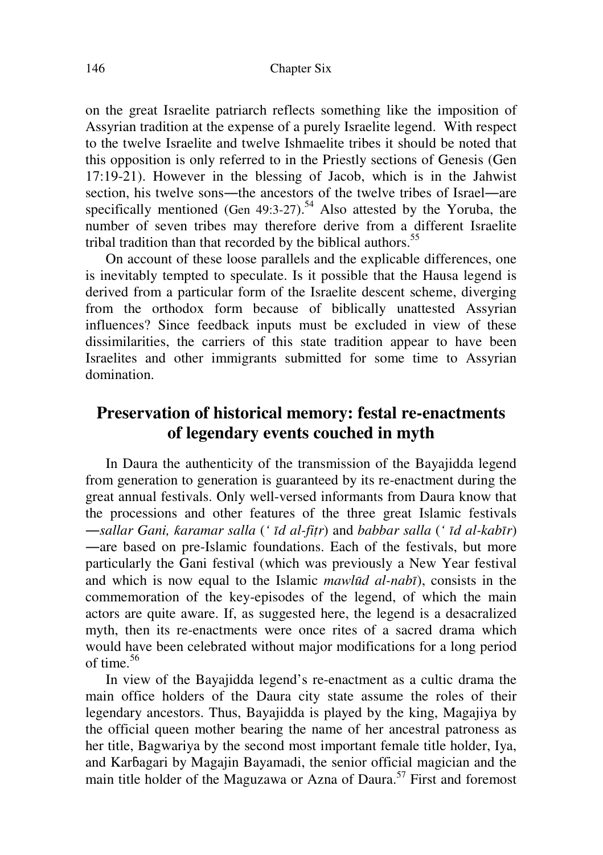on the great Israelite patriarch reflects something like the imposition of Assyrian tradition at the expense of a purely Israelite legend. With respect to the twelve Israelite and twelve Ishmaelite tribes it should be noted that this opposition is only referred to in the Priestly sections of Genesis (Gen 17:19-21). However in the blessing of Jacob, which is in the Jahwist section, his twelve sons—the ancestors of the twelve tribes of Israel—are specifically mentioned (Gen  $49:3-27$ ).<sup>54</sup> Also attested by the Yoruba, the number of seven tribes may therefore derive from a different Israelite tribal tradition than that recorded by the biblical authors.<sup>55</sup>

On account of these loose parallels and the explicable differences, one is inevitably tempted to speculate. Is it possible that the Hausa legend is derived from a particular form of the Israelite descent scheme, diverging from the orthodox form because of biblically unattested Assyrian influences? Since feedback inputs must be excluded in view of these dissimilarities, the carriers of this state tradition appear to have been Israelites and other immigrants submitted for some time to Assyrian domination.

#### **Preservation of historical memory: festal re-enactments of legendary events couched in myth**

In Daura the authenticity of the transmission of the Bayajidda legend from generation to generation is guaranteed by its re-enactment during the great annual festivals. Only well-versed informants from Daura know that the processions and other features of the three great Islamic festivals  $-\text{sallar Gani}$ , *karamar salla* (*'*  $\bar{\text{id}}$  al-fitr) and *babbar salla* (*'*  $\bar{\text{id}}$  al-kab $\bar{\text{tr}}$ ) ―are based on pre-Islamic foundations. Each of the festivals, but more particularly the Gani festival (which was previously a New Year festival and which is now equal to the Islamic *mawlūd al-nabī*), consists in the commemoration of the key-episodes of the legend, of which the main actors are quite aware. If, as suggested here, the legend is a desacralized myth, then its re-enactments were once rites of a sacred drama which would have been celebrated without major modifications for a long period of time.<sup>56</sup>

In view of the Bayajidda legend's re-enactment as a cultic drama the main office holders of the Daura city state assume the roles of their legendary ancestors. Thus, Bayajidda is played by the king, Magajiya by the official queen mother bearing the name of her ancestral patroness as her title, Bagwariya by the second most important female title holder, Iya, and Karbagari by Magajin Bayamadi, the senior official magician and the main title holder of the Maguzawa or Azna of Daura.<sup>57</sup> First and foremost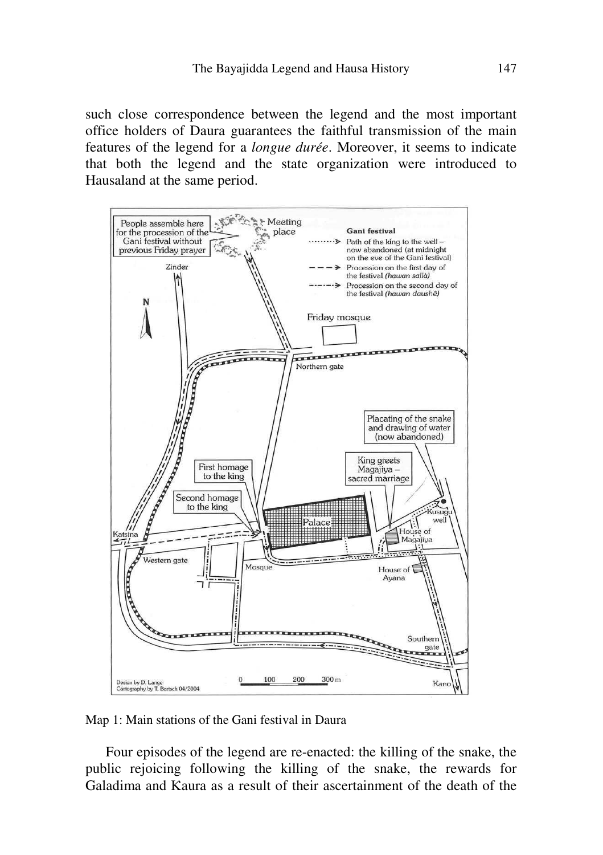such close correspondence between the legend and the most important office holders of Daura guarantees the faithful transmission of the main features of the legend for a *longue durée*. Moreover, it seems to indicate that both the legend and the state organization were introduced to Hausaland at the same period.



Map 1: Main stations of the Gani festival in Daura

Four episodes of the legend are re-enacted: the killing of the snake, the public rejoicing following the killing of the snake, the rewards for Galadima and Kaura as a result of their ascertainment of the death of the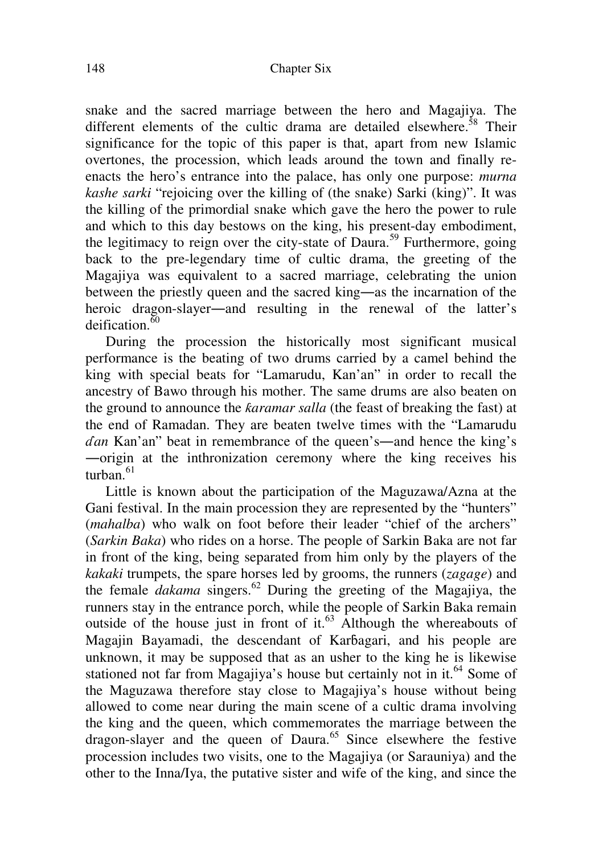snake and the sacred marriage between the hero and Magajiya. The different elements of the cultic drama are detailed elsewhere.<sup>58</sup> Their significance for the topic of this paper is that, apart from new Islamic overtones, the procession, which leads around the town and finally reenacts the hero's entrance into the palace, has only one purpose: *murna kashe sarki* "rejoicing over the killing of (the snake) Sarki (king)". It was the killing of the primordial snake which gave the hero the power to rule and which to this day bestows on the king, his present-day embodiment, the legitimacy to reign over the city-state of Daura.<sup>59</sup> Furthermore, going back to the pre-legendary time of cultic drama, the greeting of the Magajiya was equivalent to a sacred marriage, celebrating the union between the priestly queen and the sacred king―as the incarnation of the heroic dragon-slayer―and resulting in the renewal of the latter's deification. $\overline{60}$ 

During the procession the historically most significant musical performance is the beating of two drums carried by a camel behind the king with special beats for "Lamarudu, Kan'an" in order to recall the ancestry of Bawo through his mother. The same drums are also beaten on the ground to announce the k*aramar salla* (the feast of breaking the fast) at the end of Ramadan. They are beaten twelve times with the "Lamarudu f*an* Kan'an" beat in remembrance of the queen's―and hence the king's ―origin at the inthronization ceremony where the king receives his turban $61$ 

Little is known about the participation of the Maguzawa/Azna at the Gani festival. In the main procession they are represented by the "hunters" (*mahalba*) who walk on foot before their leader "chief of the archers" (*Sarkin Baka*) who rides on a horse. The people of Sarkin Baka are not far in front of the king, being separated from him only by the players of the *kakaki* trumpets, the spare horses led by grooms, the runners (*zagage*) and the female *dakama* singers.<sup>62</sup> During the greeting of the Magajiya, the runners stay in the entrance porch, while the people of Sarkin Baka remain outside of the house just in front of it. $63$  Although the whereabouts of Magajin Bayamadi, the descendant of Karbagari, and his people are unknown, it may be supposed that as an usher to the king he is likewise stationed not far from Magajiya's house but certainly not in it.<sup>64</sup> Some of the Maguzawa therefore stay close to Magajiya's house without being allowed to come near during the main scene of a cultic drama involving the king and the queen, which commemorates the marriage between the  $dragon-slaver$  and the queen of Daura.<sup>65</sup> Since elsewhere the festive procession includes two visits, one to the Magajiya (or Sarauniya) and the other to the Inna/Iya, the putative sister and wife of the king, and since the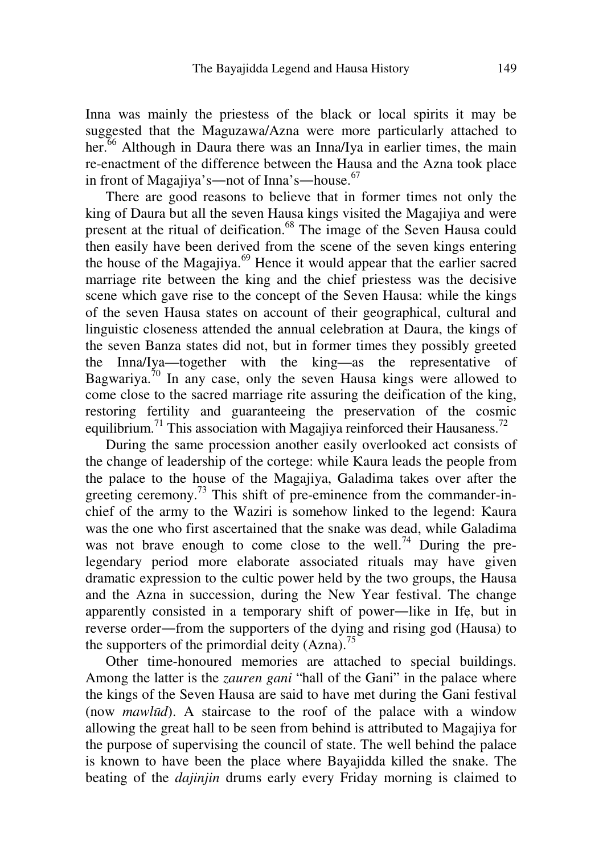Inna was mainly the priestess of the black or local spirits it may be suggested that the Maguzawa/Azna were more particularly attached to her.<sup>66</sup> Although in Daura there was an Inna/Iya in earlier times, the main re-enactment of the difference between the Hausa and the Azna took place in front of Magajiya's—not of Inna's—house.<sup>67</sup>

There are good reasons to believe that in former times not only the king of Daura but all the seven Hausa kings visited the Magajiya and were present at the ritual of deification.<sup>68</sup> The image of the Seven Hausa could then easily have been derived from the scene of the seven kings entering the house of the Magajiya.<sup>69</sup> Hence it would appear that the earlier sacred marriage rite between the king and the chief priestess was the decisive scene which gave rise to the concept of the Seven Hausa: while the kings of the seven Hausa states on account of their geographical, cultural and linguistic closeness attended the annual celebration at Daura, the kings of the seven Banza states did not, but in former times they possibly greeted the Inna/Iya—together with the king—as the representative of Bagwariya.<sup>70</sup> In any case, only the seven Hausa kings were allowed to come close to the sacred marriage rite assuring the deification of the king, restoring fertility and guaranteeing the preservation of the cosmic equilibrium.<sup>71</sup> This association with Magajiya reinforced their Hausaness.<sup>72</sup>

During the same procession another easily overlooked act consists of the change of leadership of the cortege: while Kaura leads the people from the palace to the house of the Magajiya, Galadima takes over after the greeting ceremony.<sup>73</sup> This shift of pre-eminence from the commander-inchief of the army to the Waziri is somehow linked to the legend: Kaura was the one who first ascertained that the snake was dead, while Galadima was not brave enough to come close to the well.<sup>74</sup> During the prelegendary period more elaborate associated rituals may have given dramatic expression to the cultic power held by the two groups, the Hausa and the Azna in succession, during the New Year festival. The change apparently consisted in a temporary shift of power―like in Ife, but in reverse order―from the supporters of the dying and rising god (Hausa) to the supporters of the primordial deity  $(Azna)$ .<sup>75</sup>

Other time-honoured memories are attached to special buildings. Among the latter is the *zauren gani* "hall of the Gani" in the palace where the kings of the Seven Hausa are said to have met during the Gani festival (now *mawlūd*). A staircase to the roof of the palace with a window allowing the great hall to be seen from behind is attributed to Magajiya for the purpose of supervising the council of state. The well behind the palace is known to have been the place where Bayajidda killed the snake. The beating of the *dajinjin* drums early every Friday morning is claimed to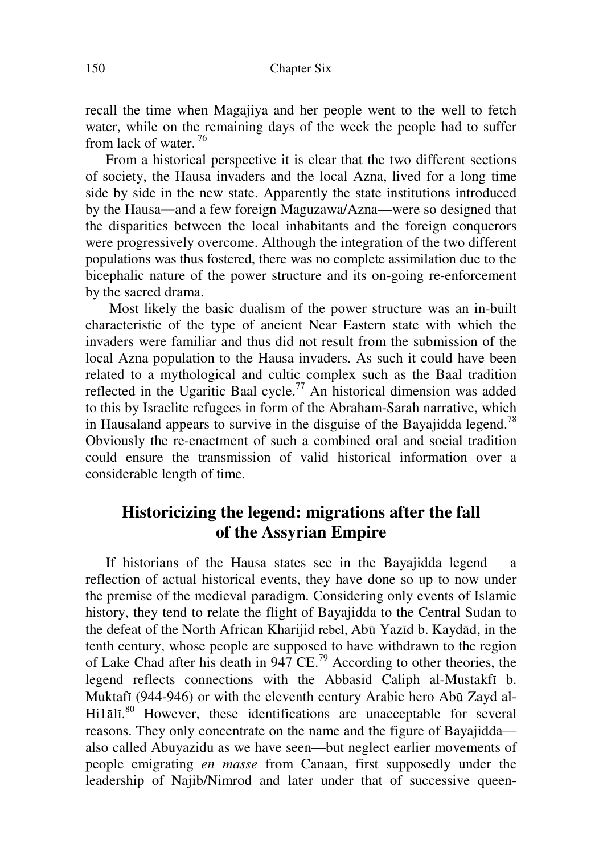recall the time when Magajiya and her people went to the well to fetch water, while on the remaining days of the week the people had to suffer from lack of water.<sup>76</sup>

From a historical perspective it is clear that the two different sections of society, the Hausa invaders and the local Azna, lived for a long time side by side in the new state. Apparently the state institutions introduced by the Hausa―and a few foreign Maguzawa/Azna—were so designed that the disparities between the local inhabitants and the foreign conquerors were progressively overcome. Although the integration of the two different populations was thus fostered, there was no complete assimilation due to the bicephalic nature of the power structure and its on-going re-enforcement by the sacred drama.

 Most likely the basic dualism of the power structure was an in-built characteristic of the type of ancient Near Eastern state with which the invaders were familiar and thus did not result from the submission of the local Azna population to the Hausa invaders. As such it could have been related to a mythological and cultic complex such as the Baal tradition reflected in the Ugaritic Baal cycle.<sup>77</sup> An historical dimension was added to this by Israelite refugees in form of the Abraham-Sarah narrative, which in Hausaland appears to survive in the disguise of the Bavaiidda legend.<sup>78</sup> Obviously the re-enactment of such a combined oral and social tradition could ensure the transmission of valid historical information over a considerable length of time.

#### **Historicizing the legend: migrations after the fall of the Assyrian Empire**

If historians of the Hausa states see in the Bayajidda legend a reflection of actual historical events, they have done so up to now under the premise of the medieval paradigm. Considering only events of Islamic history, they tend to relate the flight of Bayajidda to the Central Sudan to the defeat of the North African Kharijid rebel, Abū Yazīd b. Kaydād, in the tenth century, whose people are supposed to have withdrawn to the region of Lake Chad after his death in 947 CE.<sup>79</sup> According to other theories, the legend reflects connections with the Abbasid Caliph al-Mustakfi b. Muktafī (944-946) or with the eleventh century Arabic hero Abū Zayd al-Hi1ālī.<sup>80</sup> However, these identifications are unacceptable for several reasons. They only concentrate on the name and the figure of Bayajidda also called Abuyazidu as we have seen—but neglect earlier movements of people emigrating *en masse* from Canaan, first supposedly under the leadership of Najib/Nimrod and later under that of successive queen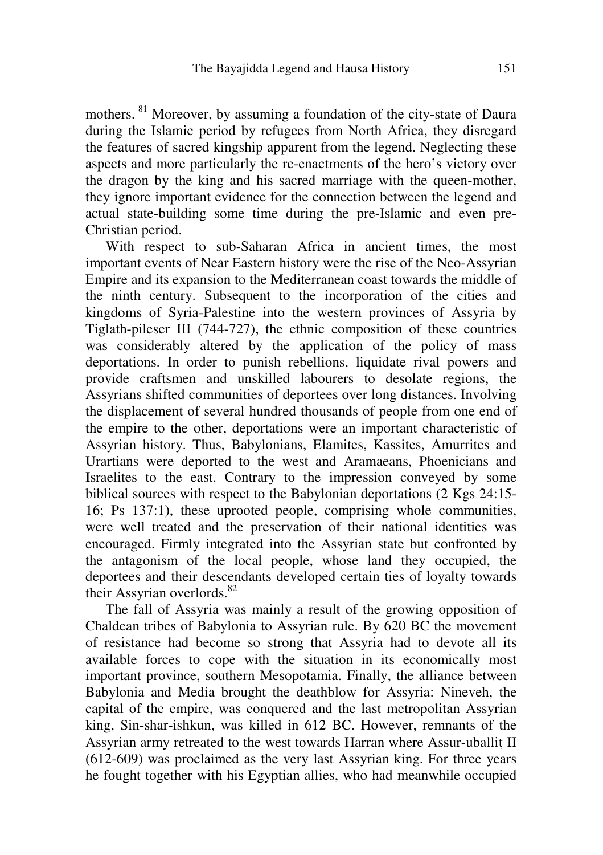mothers.<sup>81</sup> Moreover, by assuming a foundation of the city-state of Daura during the Islamic period by refugees from North Africa, they disregard the features of sacred kingship apparent from the legend. Neglecting these aspects and more particularly the re-enactments of the hero's victory over the dragon by the king and his sacred marriage with the queen-mother, they ignore important evidence for the connection between the legend and actual state-building some time during the pre-Islamic and even pre-Christian period.

With respect to sub-Saharan Africa in ancient times, the most important events of Near Eastern history were the rise of the Neo-Assyrian Empire and its expansion to the Mediterranean coast towards the middle of the ninth century. Subsequent to the incorporation of the cities and kingdoms of Syria-Palestine into the western provinces of Assyria by Tiglath-pileser III (744-727), the ethnic composition of these countries was considerably altered by the application of the policy of mass deportations. In order to punish rebellions, liquidate rival powers and provide craftsmen and unskilled labourers to desolate regions, the Assyrians shifted communities of deportees over long distances. Involving the displacement of several hundred thousands of people from one end of the empire to the other, deportations were an important characteristic of Assyrian history. Thus, Babylonians, Elamites, Kassites, Amurrites and Urartians were deported to the west and Aramaeans, Phoenicians and Israelites to the east. Contrary to the impression conveyed by some biblical sources with respect to the Babylonian deportations (2 Kgs 24:15- 16; Ps 137:1), these uprooted people, comprising whole communities, were well treated and the preservation of their national identities was encouraged. Firmly integrated into the Assyrian state but confronted by the antagonism of the local people, whose land they occupied, the deportees and their descendants developed certain ties of loyalty towards their Assyrian overlords. $82$ 

The fall of Assyria was mainly a result of the growing opposition of Chaldean tribes of Babylonia to Assyrian rule. By 620 BC the movement of resistance had become so strong that Assyria had to devote all its available forces to cope with the situation in its economically most important province, southern Mesopotamia. Finally, the alliance between Babylonia and Media brought the deathblow for Assyria: Nineveh, the capital of the empire, was conquered and the last metropolitan Assyrian king, Sin-shar-ishkun, was killed in 612 BC. However, remnants of the Assyrian army retreated to the west towards Harran where Assur-uballit II (612-609) was proclaimed as the very last Assyrian king. For three years he fought together with his Egyptian allies, who had meanwhile occupied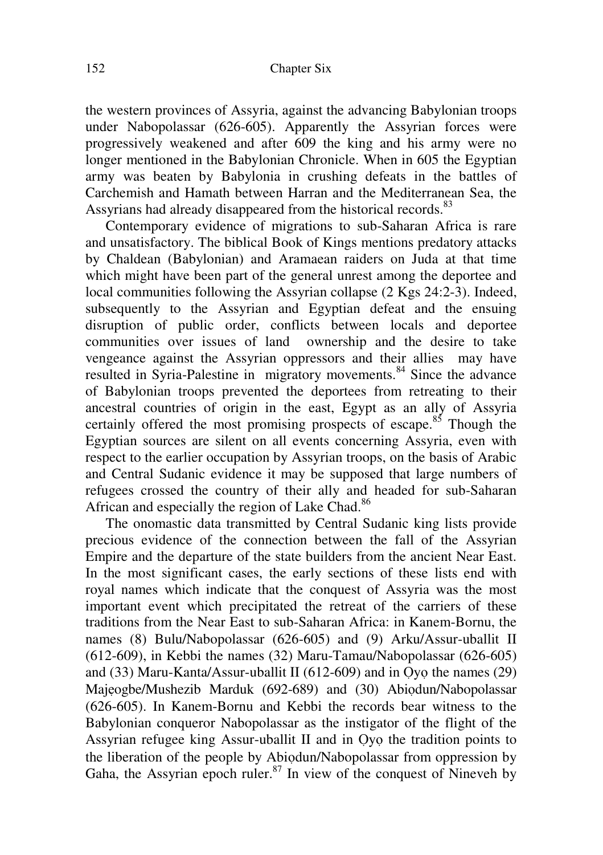the western provinces of Assyria, against the advancing Babylonian troops under Nabopolassar (626-605). Apparently the Assyrian forces were progressively weakened and after 609 the king and his army were no longer mentioned in the Babylonian Chronicle. When in 605 the Egyptian army was beaten by Babylonia in crushing defeats in the battles of Carchemish and Hamath between Harran and the Mediterranean Sea, the Assyrians had already disappeared from the historical records.<sup>83</sup>

Contemporary evidence of migrations to sub-Saharan Africa is rare and unsatisfactory. The biblical Book of Kings mentions predatory attacks by Chaldean (Babylonian) and Aramaean raiders on Juda at that time which might have been part of the general unrest among the deportee and local communities following the Assyrian collapse (2 Kgs 24:2-3). Indeed, subsequently to the Assyrian and Egyptian defeat and the ensuing disruption of public order, conflicts between locals and deportee communities over issues of land ownership and the desire to take vengeance against the Assyrian oppressors and their allies may have resulted in Syria-Palestine in migratory movements. <sup>84</sup> Since the advance of Babylonian troops prevented the deportees from retreating to their ancestral countries of origin in the east, Egypt as an ally of Assyria certainly offered the most promising prospects of escape.<sup>85</sup> Though the Egyptian sources are silent on all events concerning Assyria, even with respect to the earlier occupation by Assyrian troops, on the basis of Arabic and Central Sudanic evidence it may be supposed that large numbers of refugees crossed the country of their ally and headed for sub-Saharan African and especially the region of Lake Chad.<sup>86</sup>

The onomastic data transmitted by Central Sudanic king lists provide precious evidence of the connection between the fall of the Assyrian Empire and the departure of the state builders from the ancient Near East. In the most significant cases, the early sections of these lists end with royal names which indicate that the conquest of Assyria was the most important event which precipitated the retreat of the carriers of these traditions from the Near East to sub-Saharan Africa: in Kanem-Bornu, the names (8) Bulu/Nabopolassar (626-605) and (9) Arku/Assur-uballit II (612-609), in Kebbi the names (32) Maru-Tamau/Nabopolassar (626-605) and (33) Maru-Kanta/Assur-uballit II (612-609) and in Oyo the names (29) Majeogbe/Mushezib Marduk (692-689) and (30) Abiodun/Nabopolassar (626-605). In Kanem-Bornu and Kebbi the records bear witness to the Babylonian conqueror Nabopolassar as the instigator of the flight of the Assyrian refugee king Assur-uballit II and in Oyo the tradition points to the liberation of the people by Abiodun/Nabopolassar from oppression by Gaha, the Assyrian epoch ruler.<sup>87</sup> In view of the conquest of Nineveh by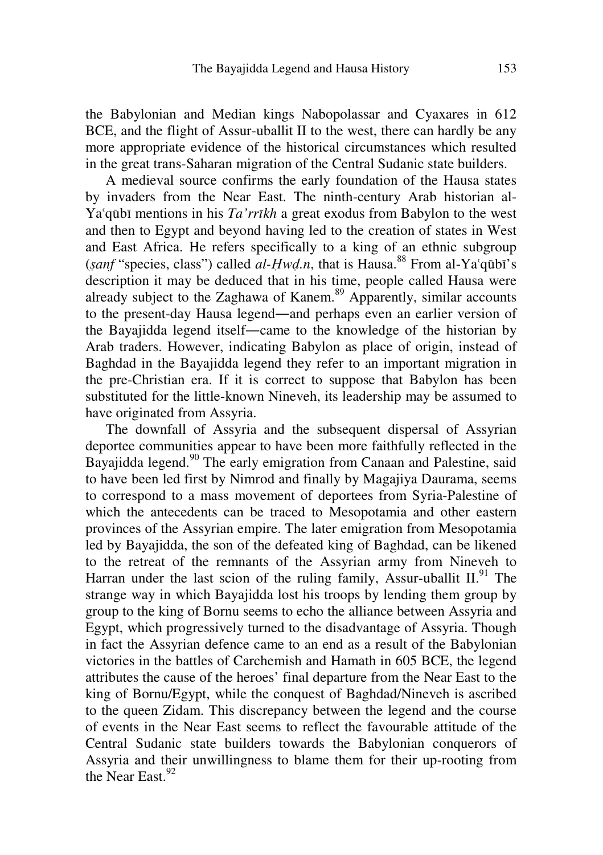the Babylonian and Median kings Nabopolassar and Cyaxares in 612 BCE, and the flight of Assur-uballit II to the west, there can hardly be any more appropriate evidence of the historical circumstances which resulted in the great trans-Saharan migration of the Central Sudanic state builders.

A medieval source confirms the early foundation of the Hausa states by invaders from the Near East. The ninth-century Arab historian al-Ya'qūbī mentions in his *Ta'rrīkh* a great exodus from Babylon to the west and then to Egypt and beyond having led to the creation of states in West and East Africa. He refers specifically to a king of an ethnic subgroup (sanf "species, class") called  $al-Hwd.n$ , that is Hausa.<sup>88</sup> From al-Ya'aūbī's description it may be deduced that in his time, people called Hausa were already subject to the Zaghawa of Kanem.<sup>89</sup> Apparently, similar accounts to the present-day Hausa legend―and perhaps even an earlier version of the Bayajidda legend itself―came to the knowledge of the historian by Arab traders. However, indicating Babylon as place of origin, instead of Baghdad in the Bayajidda legend they refer to an important migration in the pre-Christian era. If it is correct to suppose that Babylon has been substituted for the little-known Nineveh, its leadership may be assumed to have originated from Assyria.

The downfall of Assyria and the subsequent dispersal of Assyrian deportee communities appear to have been more faithfully reflected in the Bayajidda legend.<sup>90</sup> The early emigration from Canaan and Palestine, said to have been led first by Nimrod and finally by Magajiya Daurama, seems to correspond to a mass movement of deportees from Syria-Palestine of which the antecedents can be traced to Mesopotamia and other eastern provinces of the Assyrian empire. The later emigration from Mesopotamia led by Bayajidda, the son of the defeated king of Baghdad, can be likened to the retreat of the remnants of the Assyrian army from Nineveh to Harran under the last scion of the ruling family, Assur-uballit  $II^{91}$ . The strange way in which Bayajidda lost his troops by lending them group by group to the king of Bornu seems to echo the alliance between Assyria and Egypt, which progressively turned to the disadvantage of Assyria. Though in fact the Assyrian defence came to an end as a result of the Babylonian victories in the battles of Carchemish and Hamath in 605 BCE, the legend attributes the cause of the heroes' final departure from the Near East to the king of Bornu/Egypt, while the conquest of Baghdad/Nineveh is ascribed to the queen Zidam. This discrepancy between the legend and the course of events in the Near East seems to reflect the favourable attitude of the Central Sudanic state builders towards the Babylonian conquerors of Assyria and their unwillingness to blame them for their up-rooting from the Near East. $92$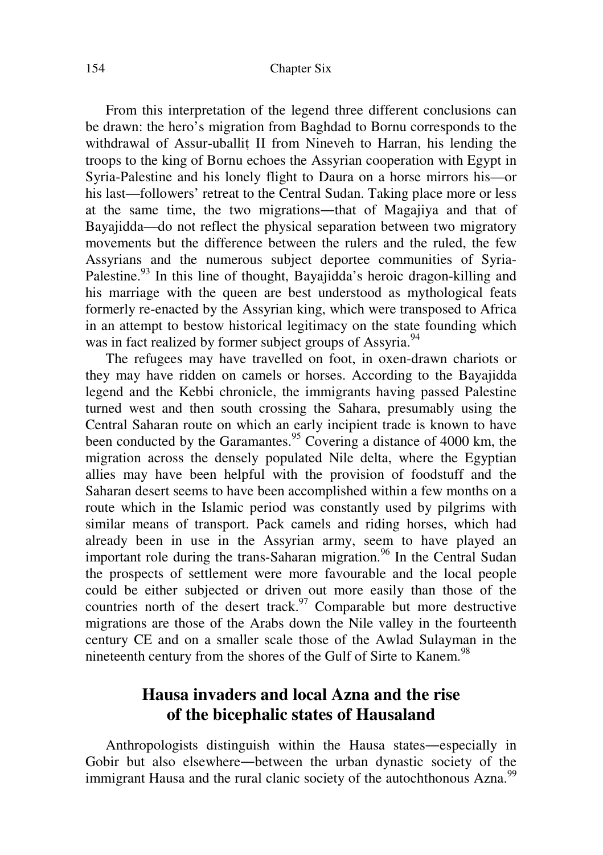From this interpretation of the legend three different conclusions can be drawn: the hero's migration from Baghdad to Bornu corresponds to the withdrawal of Assur-uballit II from Nineveh to Harran, his lending the troops to the king of Bornu echoes the Assyrian cooperation with Egypt in Syria-Palestine and his lonely flight to Daura on a horse mirrors his—or his last—followers' retreat to the Central Sudan. Taking place more or less at the same time, the two migrations―that of Magajiya and that of Bayajidda—do not reflect the physical separation between two migratory movements but the difference between the rulers and the ruled, the few Assyrians and the numerous subject deportee communities of Syria-Palestine.<sup>93</sup> In this line of thought, Bayajidda's heroic dragon-killing and his marriage with the queen are best understood as mythological feats formerly re-enacted by the Assyrian king, which were transposed to Africa in an attempt to bestow historical legitimacy on the state founding which was in fact realized by former subject groups of Assyria.<sup>94</sup>

The refugees may have travelled on foot, in oxen-drawn chariots or they may have ridden on camels or horses. According to the Bayajidda legend and the Kebbi chronicle, the immigrants having passed Palestine turned west and then south crossing the Sahara, presumably using the Central Saharan route on which an early incipient trade is known to have been conducted by the Garamantes.<sup>95</sup> Covering a distance of 4000 km, the migration across the densely populated Nile delta, where the Egyptian allies may have been helpful with the provision of foodstuff and the Saharan desert seems to have been accomplished within a few months on a route which in the Islamic period was constantly used by pilgrims with similar means of transport. Pack camels and riding horses, which had already been in use in the Assyrian army, seem to have played an important role during the trans-Saharan migration.<sup>96</sup> In the Central Sudan the prospects of settlement were more favourable and the local people could be either subjected or driven out more easily than those of the countries north of the desert track.<sup>97</sup> Comparable but more destructive migrations are those of the Arabs down the Nile valley in the fourteenth century CE and on a smaller scale those of the Awlad Sulayman in the nineteenth century from the shores of the Gulf of Sirte to Kanem.<sup>98</sup>

#### **Hausa invaders and local Azna and the rise of the bicephalic states of Hausaland**

Anthropologists distinguish within the Hausa states―especially in Gobir but also elsewhere―between the urban dynastic society of the immigrant Hausa and the rural clanic society of the autochthonous Azna.<sup>99</sup>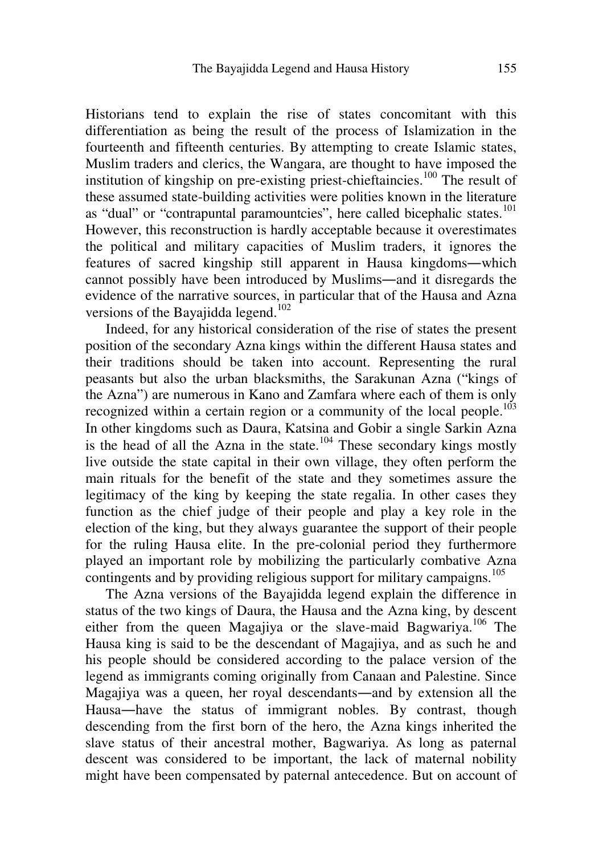Historians tend to explain the rise of states concomitant with this differentiation as being the result of the process of Islamization in the fourteenth and fifteenth centuries. By attempting to create Islamic states, Muslim traders and clerics, the Wangara, are thought to have imposed the institution of kingship on pre-existing priest-chieftaincies.<sup>100</sup> The result of these assumed state-building activities were polities known in the literature as "dual" or "contrapuntal paramountcies", here called bicephalic states.<sup>101</sup> However, this reconstruction is hardly acceptable because it overestimates the political and military capacities of Muslim traders, it ignores the features of sacred kingship still apparent in Hausa kingdoms―which cannot possibly have been introduced by Muslims―and it disregards the evidence of the narrative sources, in particular that of the Hausa and Azna versions of the Bayajidda legend.<sup>102</sup>

Indeed, for any historical consideration of the rise of states the present position of the secondary Azna kings within the different Hausa states and their traditions should be taken into account. Representing the rural peasants but also the urban blacksmiths, the Sarakunan Azna ("kings of the Azna") are numerous in Kano and Zamfara where each of them is only recognized within a certain region or a community of the local people.<sup>103</sup> In other kingdoms such as Daura, Katsina and Gobir a single Sarkin Azna is the head of all the Azna in the state.<sup>104</sup> These secondary kings mostly live outside the state capital in their own village, they often perform the main rituals for the benefit of the state and they sometimes assure the legitimacy of the king by keeping the state regalia. In other cases they function as the chief judge of their people and play a key role in the election of the king, but they always guarantee the support of their people for the ruling Hausa elite. In the pre-colonial period they furthermore played an important role by mobilizing the particularly combative Azna contingents and by providing religious support for military campaigns.<sup>105</sup>

The Azna versions of the Bayajidda legend explain the difference in status of the two kings of Daura, the Hausa and the Azna king, by descent either from the queen Magajiya or the slave-maid Bagwariya.<sup>106</sup> The Hausa king is said to be the descendant of Magajiya, and as such he and his people should be considered according to the palace version of the legend as immigrants coming originally from Canaan and Palestine. Since Magajiya was a queen, her royal descendants―and by extension all the Hausa―have the status of immigrant nobles. By contrast, though descending from the first born of the hero, the Azna kings inherited the slave status of their ancestral mother, Bagwariya. As long as paternal descent was considered to be important, the lack of maternal nobility might have been compensated by paternal antecedence. But on account of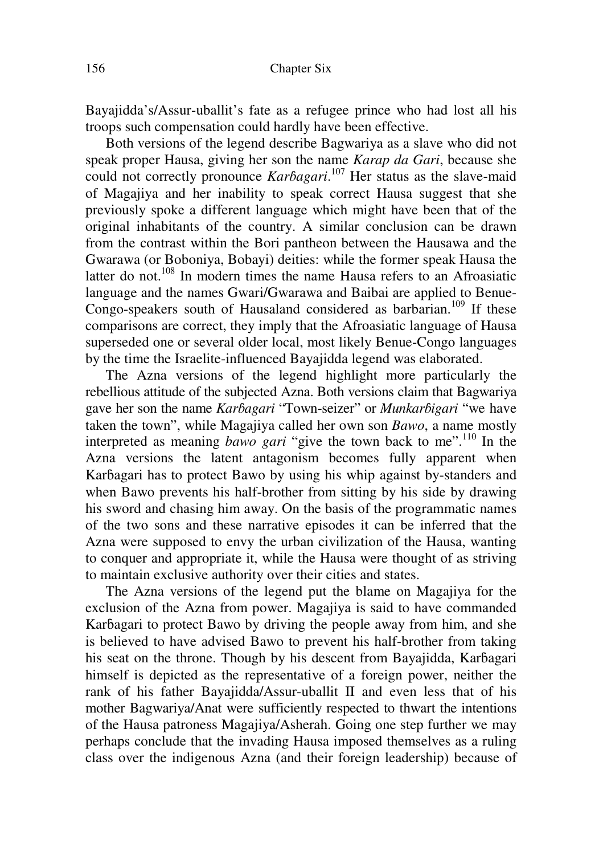Bayajidda's/Assur-uballit's fate as a refugee prince who had lost all his troops such compensation could hardly have been effective.

Both versions of the legend describe Bagwariya as a slave who did not speak proper Hausa, giving her son the name *Karap da Gari*, because she could not correctly pronounce *Kar*b*agari*. <sup>107</sup> Her status as the slave-maid of Magajiya and her inability to speak correct Hausa suggest that she previously spoke a different language which might have been that of the original inhabitants of the country. A similar conclusion can be drawn from the contrast within the Bori pantheon between the Hausawa and the Gwarawa (or Boboniya, Bobayi) deities: while the former speak Hausa the latter do not.<sup>108</sup> In modern times the name Hausa refers to an Afroasiatic language and the names Gwari/Gwarawa and Baibai are applied to Benue-Congo-speakers south of Hausaland considered as barbarian.<sup>109</sup> If these comparisons are correct, they imply that the Afroasiatic language of Hausa superseded one or several older local, most likely Benue-Congo languages by the time the Israelite-influenced Bayajidda legend was elaborated.

The Azna versions of the legend highlight more particularly the rebellious attitude of the subjected Azna. Both versions claim that Bagwariya gave her son the name *Kar*b*agari* "Town-seizer" or *Munkar*b*igari* "we have taken the town", while Magajiya called her own son *Bawo*, a name mostly interpreted as meaning *bawo gari* "give the town back to me".<sup>110</sup> In the Azna versions the latent antagonism becomes fully apparent when Karbagari has to protect Bawo by using his whip against by-standers and when Bawo prevents his half-brother from sitting by his side by drawing his sword and chasing him away. On the basis of the programmatic names of the two sons and these narrative episodes it can be inferred that the Azna were supposed to envy the urban civilization of the Hausa, wanting to conquer and appropriate it, while the Hausa were thought of as striving to maintain exclusive authority over their cities and states.

The Azna versions of the legend put the blame on Magajiya for the exclusion of the Azna from power. Magajiya is said to have commanded Karbagari to protect Bawo by driving the people away from him, and she is believed to have advised Bawo to prevent his half-brother from taking his seat on the throne. Though by his descent from Bayajidda, Karbagari himself is depicted as the representative of a foreign power, neither the rank of his father Bayajidda/Assur-uballit II and even less that of his mother Bagwariya/Anat were sufficiently respected to thwart the intentions of the Hausa patroness Magajiya/Asherah. Going one step further we may perhaps conclude that the invading Hausa imposed themselves as a ruling class over the indigenous Azna (and their foreign leadership) because of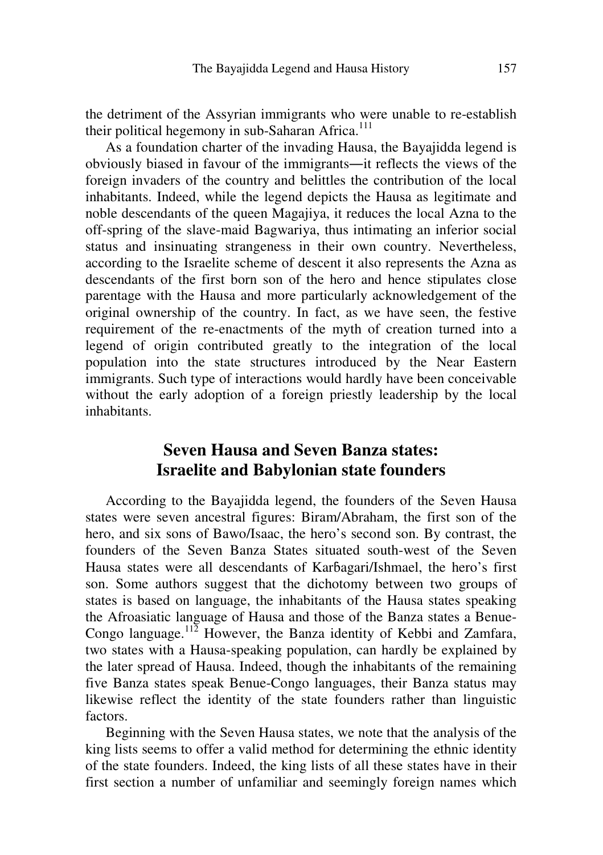the detriment of the Assyrian immigrants who were unable to re-establish their political hegemony in sub-Saharan Africa.<sup>111</sup>

As a foundation charter of the invading Hausa, the Bayajidda legend is obviously biased in favour of the immigrants―it reflects the views of the foreign invaders of the country and belittles the contribution of the local inhabitants. Indeed, while the legend depicts the Hausa as legitimate and noble descendants of the queen Magajiya, it reduces the local Azna to the off-spring of the slave-maid Bagwariya, thus intimating an inferior social status and insinuating strangeness in their own country. Nevertheless, according to the Israelite scheme of descent it also represents the Azna as descendants of the first born son of the hero and hence stipulates close parentage with the Hausa and more particularly acknowledgement of the original ownership of the country. In fact, as we have seen, the festive requirement of the re-enactments of the myth of creation turned into a legend of origin contributed greatly to the integration of the local population into the state structures introduced by the Near Eastern immigrants. Such type of interactions would hardly have been conceivable without the early adoption of a foreign priestly leadership by the local inhabitants.

#### **Seven Hausa and Seven Banza states: Israelite and Babylonian state founders**

According to the Bayajidda legend, the founders of the Seven Hausa states were seven ancestral figures: Biram/Abraham, the first son of the hero, and six sons of Bawo/Isaac, the hero's second son. By contrast, the founders of the Seven Banza States situated south-west of the Seven Hausa states were all descendants of Karbagari/Ishmael, the hero's first son. Some authors suggest that the dichotomy between two groups of states is based on language, the inhabitants of the Hausa states speaking the Afroasiatic language of Hausa and those of the Banza states a Benue-Congo language.<sup>112</sup> However, the Banza identity of Kebbi and Zamfara, two states with a Hausa-speaking population, can hardly be explained by the later spread of Hausa. Indeed, though the inhabitants of the remaining five Banza states speak Benue-Congo languages, their Banza status may likewise reflect the identity of the state founders rather than linguistic factors.

Beginning with the Seven Hausa states, we note that the analysis of the king lists seems to offer a valid method for determining the ethnic identity of the state founders. Indeed, the king lists of all these states have in their first section a number of unfamiliar and seemingly foreign names which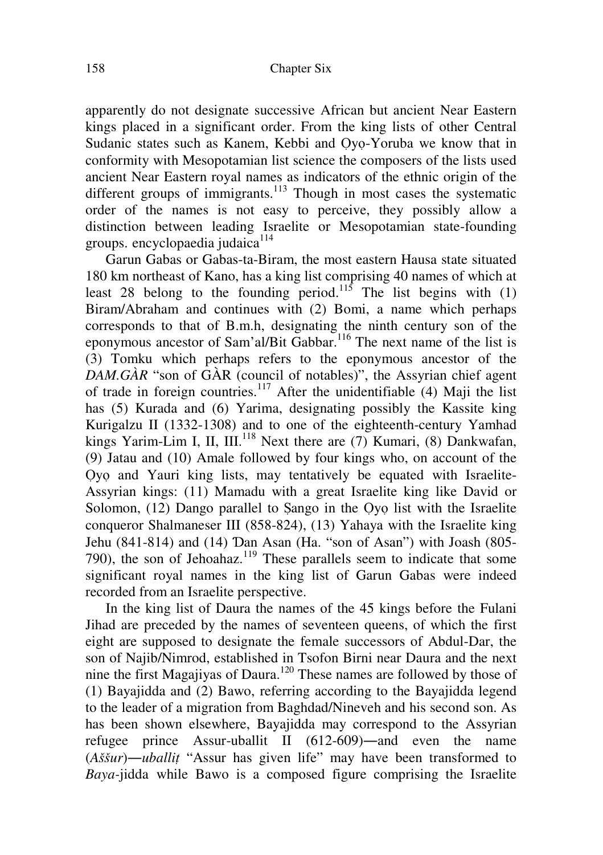apparently do not designate successive African but ancient Near Eastern kings placed in a significant order. From the king lists of other Central Sudanic states such as Kanem, Kebbi and Oyo-Yoruba we know that in conformity with Mesopotamian list science the composers of the lists used ancient Near Eastern royal names as indicators of the ethnic origin of the different groups of immigrants.<sup>113</sup> Though in most cases the systematic order of the names is not easy to perceive, they possibly allow a distinction between leading Israelite or Mesopotamian state-founding groups, encyclopaedia judaica $114$ 

Garun Gabas or Gabas-ta-Biram, the most eastern Hausa state situated 180 km northeast of Kano, has a king list comprising 40 names of which at least 28 belong to the founding period.<sup>115</sup> The list begins with  $(1)$ Biram/Abraham and continues with (2) Bomi, a name which perhaps corresponds to that of B.m.h, designating the ninth century son of the eponymous ancestor of Sam'al/Bit Gabbar.<sup>116</sup> The next name of the list is (3) Tomku which perhaps refers to the eponymous ancestor of the *DAM.GÀR* "son of GÀR (council of notables)", the Assyrian chief agent of trade in foreign countries.<sup>117</sup> After the unidentifiable (4) Maji the list has (5) Kurada and (6) Yarima, designating possibly the Kassite king Kurigalzu II (1332-1308) and to one of the eighteenth-century Yamhad kings Yarim-Lim I, II, III.<sup>118</sup> Next there are  $(7)$  Kumari,  $(8)$  Dankwafan, (9) Jatau and (10) Amale followed by four kings who, on account of the Oyo and Yauri king lists, may tentatively be equated with Israelite-Assyrian kings: (11) Mamadu with a great Israelite king like David or Solomon, (12) Dango parallel to Sango in the Oyo list with the Israelite conqueror Shalmaneser III (858-824), (13) Yahaya with the Israelite king Jehu (841-814) and (14) Fan Asan (Ha. "son of Asan") with Joash (805- 790), the son of Jehoahaz.<sup>119</sup> These parallels seem to indicate that some significant royal names in the king list of Garun Gabas were indeed recorded from an Israelite perspective.

In the king list of Daura the names of the 45 kings before the Fulani Jihad are preceded by the names of seventeen queens, of which the first eight are supposed to designate the female successors of Abdul-Dar, the son of Najib/Nimrod, established in Tsofon Birni near Daura and the next nine the first Magajiyas of Daura.<sup>120</sup> These names are followed by those of (1) Bayajidda and (2) Bawo, referring according to the Bayajidda legend to the leader of a migration from Baghdad/Nineveh and his second son. As has been shown elsewhere, Bayajidda may correspond to the Assyrian refugee prince Assur-uballit II (612-609)―and even the name (*Aššur*)—*uballit* "Assur has given life" may have been transformed to *Baya-*jidda while Bawo is a composed figure comprising the Israelite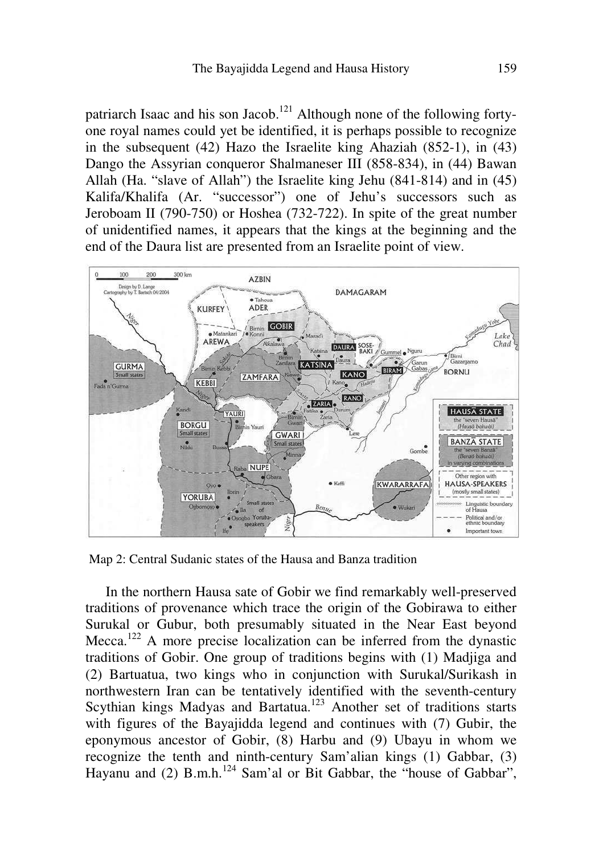patriarch Isaac and his son Jacob.<sup>121</sup> Although none of the following fortyone royal names could yet be identified, it is perhaps possible to recognize in the subsequent (42) Hazo the Israelite king Ahaziah (852-1), in (43) Dango the Assyrian conqueror Shalmaneser III (858-834), in (44) Bawan Allah (Ha. "slave of Allah") the Israelite king Jehu (841-814) and in (45) Kalifa/Khalifa (Ar. "successor") one of Jehu's successors such as Jeroboam II (790-750) or Hoshea (732-722). In spite of the great number of unidentified names, it appears that the kings at the beginning and the end of the Daura list are presented from an Israelite point of view.



Map 2: Central Sudanic states of the Hausa and Banza tradition

In the northern Hausa sate of Gobir we find remarkably well-preserved traditions of provenance which trace the origin of the Gobirawa to either Surukal or Gubur, both presumably situated in the Near East beyond Mecca.<sup>122</sup> A more precise localization can be inferred from the dynastic traditions of Gobir. One group of traditions begins with (1) Madjiga and (2) Bartuatua, two kings who in conjunction with Surukal/Surikash in northwestern Iran can be tentatively identified with the seventh-century Scythian kings Madyas and Bartatua.<sup>123</sup> Another set of traditions starts with figures of the Bayajidda legend and continues with (7) Gubir, the eponymous ancestor of Gobir, (8) Harbu and (9) Ubayu in whom we recognize the tenth and ninth-century Sam'alian kings (1) Gabbar, (3) Hayanu and (2) B.m.h.<sup>124</sup> Sam'al or Bit Gabbar, the "house of Gabbar",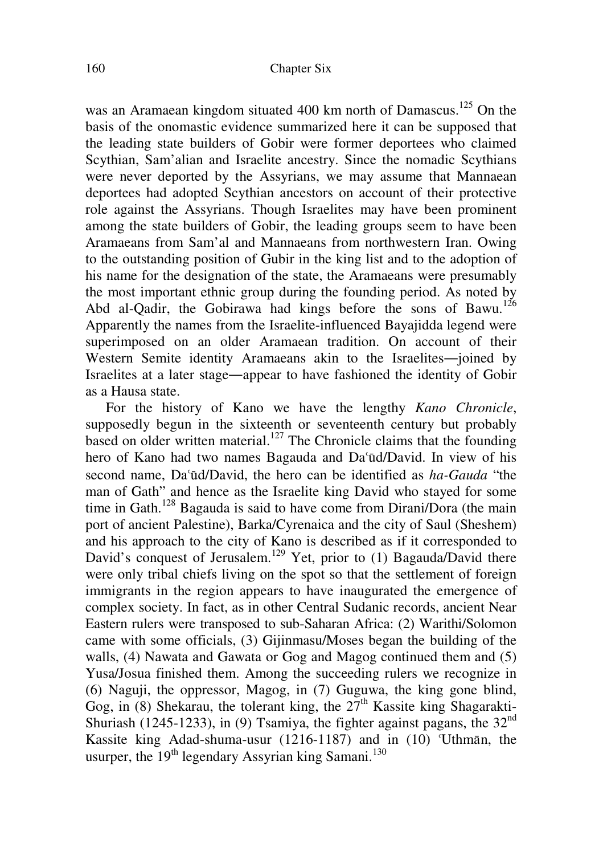was an Aramaean kingdom situated 400 km north of Damascus.<sup>125</sup> On the basis of the onomastic evidence summarized here it can be supposed that the leading state builders of Gobir were former deportees who claimed Scythian, Sam'alian and Israelite ancestry. Since the nomadic Scythians were never deported by the Assyrians, we may assume that Mannaean deportees had adopted Scythian ancestors on account of their protective role against the Assyrians. Though Israelites may have been prominent among the state builders of Gobir, the leading groups seem to have been Aramaeans from Sam'al and Mannaeans from northwestern Iran. Owing to the outstanding position of Gubir in the king list and to the adoption of his name for the designation of the state, the Aramaeans were presumably the most important ethnic group during the founding period. As noted by Abd al-Qadir, the Gobirawa had kings before the sons of Bawu.<sup>126</sup> Apparently the names from the Israelite-influenced Bayajidda legend were superimposed on an older Aramaean tradition. On account of their Western Semite identity Aramaeans akin to the Israelites―joined by Israelites at a later stage―appear to have fashioned the identity of Gobir as a Hausa state.

For the history of Kano we have the lengthy *Kano Chronicle*, supposedly begun in the sixteenth or seventeenth century but probably based on older written material.<sup>127</sup> The Chronicle claims that the founding hero of Kano had two names Bagauda and Da'ūd/David. In view of his second name. Da'ud/David, the hero can be identified as *ha-Gauda* "the man of Gath" and hence as the Israelite king David who stayed for some time in Gath.<sup>128</sup> Bagauda is said to have come from Dirani/Dora (the main port of ancient Palestine), Barka/Cyrenaica and the city of Saul (Sheshem) and his approach to the city of Kano is described as if it corresponded to David's conquest of Jerusalem.<sup>129</sup> Yet, prior to (1) Bagauda/David there were only tribal chiefs living on the spot so that the settlement of foreign immigrants in the region appears to have inaugurated the emergence of complex society. In fact, as in other Central Sudanic records, ancient Near Eastern rulers were transposed to sub-Saharan Africa: (2) Warithi/Solomon came with some officials, (3) Gijinmasu/Moses began the building of the walls, (4) Nawata and Gawata or Gog and Magog continued them and (5) Yusa/Josua finished them. Among the succeeding rulers we recognize in (6) Naguji, the oppressor, Magog, in (7) Guguwa, the king gone blind, Gog, in  $(8)$  Shekarau, the tolerant king, the  $27<sup>th</sup>$  Kassite king Shagarakti-Shuriash (1245-1233), in (9) Tsamiya, the fighter against pagans, the  $32<sup>nd</sup>$ Kassite king Adad-shuma-usur  $(1216-1187)$  and in  $(10)$  Uthman, the usurper, the  $19<sup>th</sup>$  legendary Assyrian king Samani.<sup>130</sup>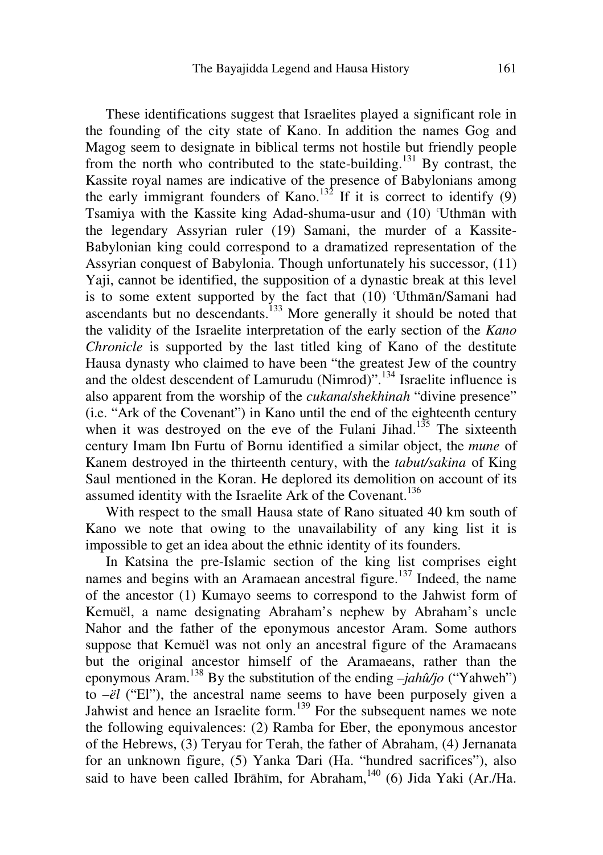These identifications suggest that Israelites played a significant role in the founding of the city state of Kano. In addition the names Gog and Magog seem to designate in biblical terms not hostile but friendly people from the north who contributed to the state-building.<sup>131</sup> By contrast, the Kassite royal names are indicative of the presence of Babylonians among the early immigrant founders of Kano.<sup>132</sup> If it is correct to identify (9) Tsamiya with the Kassite king Adad-shuma-usur and (10) 'Uthmān with the legendary Assyrian ruler (19) Samani, the murder of a Kassite-Babylonian king could correspond to a dramatized representation of the Assyrian conquest of Babylonia. Though unfortunately his successor, (11) Yaji, cannot be identified, the supposition of a dynastic break at this level is to some extent supported by the fact that (10) 'Uthmān/Samani had ascendants but no descendants.<sup>133</sup> More generally it should be noted that the validity of the Israelite interpretation of the early section of the *Kano Chronicle* is supported by the last titled king of Kano of the destitute Hausa dynasty who claimed to have been "the greatest Jew of the country and the oldest descendent of Lamurudu (Nimrod)".<sup>134</sup> Israelite influence is also apparent from the worship of the *cukana*/*shekhinah* "divine presence" (i.e. "Ark of the Covenant") in Kano until the end of the eighteenth century when it was destroyed on the eve of the Fulani Jihad.<sup>135</sup> The sixteenth century Imam Ibn Furtu of Bornu identified a similar object, the *mune* of Kanem destroyed in the thirteenth century, with the *tabut/sakina* of King Saul mentioned in the Koran. He deplored its demolition on account of its assumed identity with the Israelite Ark of the Covenant.<sup>136</sup>

With respect to the small Hausa state of Rano situated 40 km south of Kano we note that owing to the unavailability of any king list it is impossible to get an idea about the ethnic identity of its founders.

In Katsina the pre-Islamic section of the king list comprises eight names and begins with an Aramaean ancestral figure.<sup>137</sup> Indeed, the name of the ancestor (1) Kumayo seems to correspond to the Jahwist form of Kemuël, a name designating Abraham's nephew by Abraham's uncle Nahor and the father of the eponymous ancestor Aram. Some authors suppose that Kemuël was not only an ancestral figure of the Aramaeans but the original ancestor himself of the Aramaeans, rather than the eponymous Aram.<sup>138</sup> By the substitution of the ending *–jahû/jo* ("Yahweh") to –*ël* ("El"), the ancestral name seems to have been purposely given a Jahwist and hence an Israelite form.<sup>139</sup> For the subsequent names we note the following equivalences: (2) Ramba for Eber, the eponymous ancestor of the Hebrews, (3) Teryau for Terah, the father of Abraham, (4) Jernanata for an unknown figure, (5) Yanka Dari (Ha. "hundred sacrifices"), also said to have been called Ibrāhīm, for Abraham,  $140$  (6) Jida Yaki (Ar./Ha.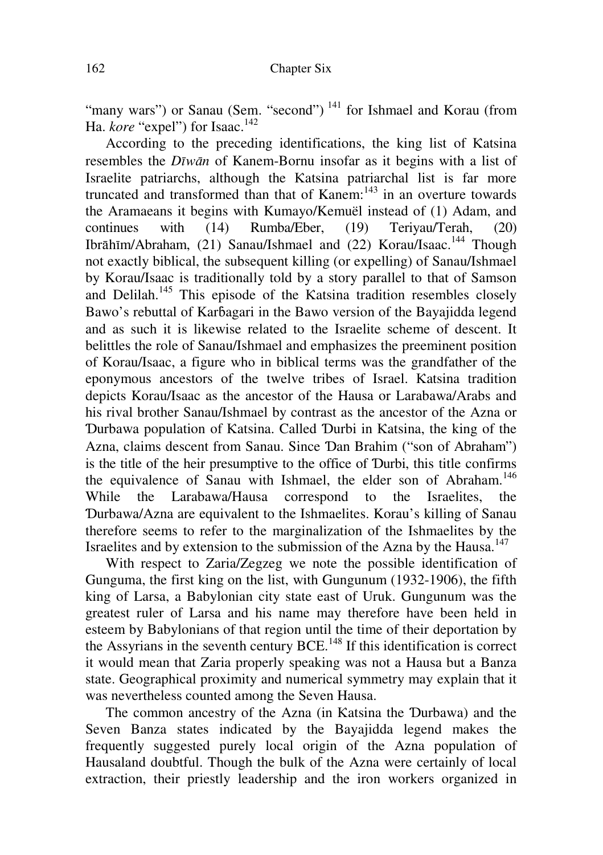"many wars") or Sanau (Sem. "second")<sup>141</sup> for Ishmael and Korau (from Ha. *kore* "expel") for Isaac.<sup>142</sup>

According to the preceding identifications, the king list of Katsina resembles the *D<sub>iwan*</sub> of Kanem-Bornu insofar as it begins with a list of Israelite patriarchs, although the Katsina patriarchal list is far more truncated and transformed than that of Kanem:<sup>143</sup> in an overture towards the Aramaeans it begins with Kumayo/Kemuël instead of (1) Adam, and continues with (14) Rumba/Eber, (19) Teriyau/Terah, (20) Ibrāhīm/Abraham, (21) Sanau/Ishmael and (22) Korau/Isaac.<sup>144</sup> Though not exactly biblical, the subsequent killing (or expelling) of Sanau/Ishmael by Korau/Isaac is traditionally told by a story parallel to that of Samson and Delilah.<sup>145</sup> This episode of the Katsina tradition resembles closely Bawo's rebuttal of Karbagari in the Bawo version of the Bayajidda legend and as such it is likewise related to the Israelite scheme of descent. It belittles the role of Sanau/Ishmael and emphasizes the preeminent position of Korau/Isaac, a figure who in biblical terms was the grandfather of the eponymous ancestors of the twelve tribes of Israel. Katsina tradition depicts Korau/Isaac as the ancestor of the Hausa or Larabawa/Arabs and his rival brother Sanau/Ishmael by contrast as the ancestor of the Azna or Furbawa population of Katsina. Called Furbi in Katsina, the king of the Azna, claims descent from Sanau. Since Dan Brahim ("son of Abraham") is the title of the heir presumptive to the office of Durbi, this title confirms the equivalence of Sanau with Ishmael, the elder son of Abraham.<sup>146</sup> While the Larabawa/Hausa correspond to the Israelites, the Furbawa/Azna are equivalent to the Ishmaelites. Korau's killing of Sanau therefore seems to refer to the marginalization of the Ishmaelites by the Israelites and by extension to the submission of the Azna by the Hausa.<sup>147</sup>

With respect to Zaria/Zegzeg we note the possible identification of Gunguma, the first king on the list, with Gungunum (1932-1906), the fifth king of Larsa, a Babylonian city state east of Uruk. Gungunum was the greatest ruler of Larsa and his name may therefore have been held in esteem by Babylonians of that region until the time of their deportation by the Assyrians in the seventh century BCE.<sup>148</sup> If this identification is correct it would mean that Zaria properly speaking was not a Hausa but a Banza state. Geographical proximity and numerical symmetry may explain that it was nevertheless counted among the Seven Hausa.

The common ancestry of the Azna (in Katsina the Durbawa) and the Seven Banza states indicated by the Bayajidda legend makes the frequently suggested purely local origin of the Azna population of Hausaland doubtful. Though the bulk of the Azna were certainly of local extraction, their priestly leadership and the iron workers organized in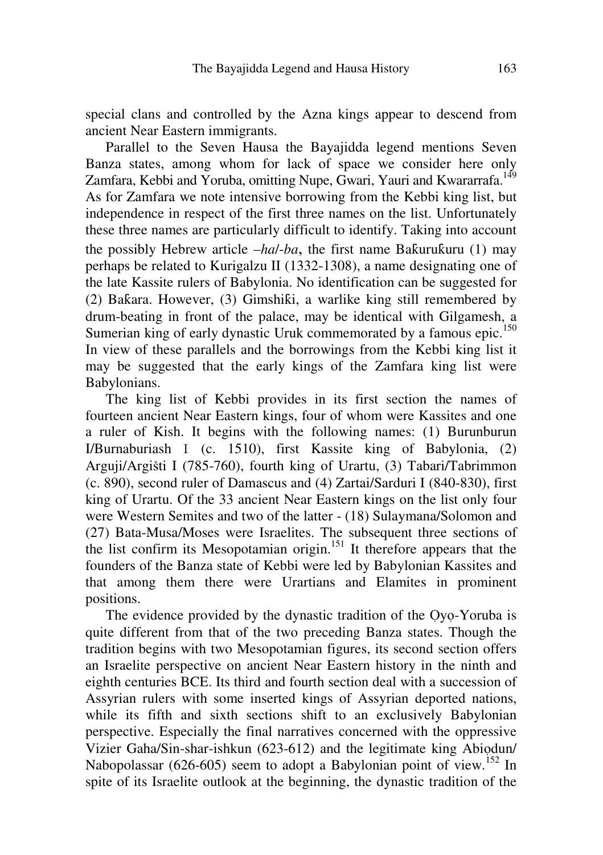special clans and controlled by the Azna kings appear to descend from ancient Near Eastern immigrants.

Parallel to the Seven Hausa the Bayajidda legend mentions Seven Banza states, among whom for lack of space we consider here only Zamfara, Kebbi and Yoruba, omitting Nupe, Gwari, Yauri and Kwararrafa.<sup>149</sup> As for Zamfara we note intensive borrowing from the Kebbi king list, but independence in respect of the first three names on the list. Unfortunately these three names are particularly difficult to identify. Taking into account the possibly Hebrew article –*ha*/-*ba*, the first name Bakurukuru (1) may perhaps be related to Kurigalzu II (1332-1308), a name designating one of the late Kassite rulers of Babylonia. No identification can be suggested for (2) Bakara. However, (3) Gimshiki, a warlike king still remembered by drum-beating in front of the palace, may be identical with Gilgamesh, a Sumerian king of early dynastic Uruk commemorated by a famous epic.<sup>150</sup> In view of these parallels and the borrowings from the Kebbi king list it may be suggested that the early kings of the Zamfara king list were Babylonians.

The king list of Kebbi provides in its first section the names of fourteen ancient Near Eastern kings, four of whom were Kassites and one a ruler of Kish. It begins with the following names: (1) Burunburun I/Burnaburiash I (c. 1510), first Kassite king of Babylonia, (2) Arguji/Argišti I (785-760), fourth king of Urartu, (3) Tabari/Tabrimmon (c. 890), second ruler of Damascus and (4) Zartai/Sarduri I (840-830), first king of Urartu. Of the 33 ancient Near Eastern kings on the list only four were Western Semites and two of the latter - (18) Sulaymana/Solomon and (27) Bata-Musa/Moses were Israelites. The subsequent three sections of the list confirm its Mesopotamian origin.<sup>151</sup> It therefore appears that the founders of the Banza state of Kebbi were led by Babylonian Kassites and that among them there were Urartians and Elamites in prominent positions.

The evidence provided by the dynastic tradition of the Oyo-Yoruba is quite different from that of the two preceding Banza states. Though the tradition begins with two Mesopotamian figures, its second section offers an Israelite perspective on ancient Near Eastern history in the ninth and eighth centuries BCE. Its third and fourth section deal with a succession of Assyrian rulers with some inserted kings of Assyrian deported nations, while its fifth and sixth sections shift to an exclusively Babylonian perspective. Especially the final narratives concerned with the oppressive Vizier Gaha/Sin-shar-ishkun (623-612) and the legitimate king Abiodun/ Nabopolassar (626-605) seem to adopt a Babylonian point of view.<sup>152</sup> In spite of its Israelite outlook at the beginning, the dynastic tradition of the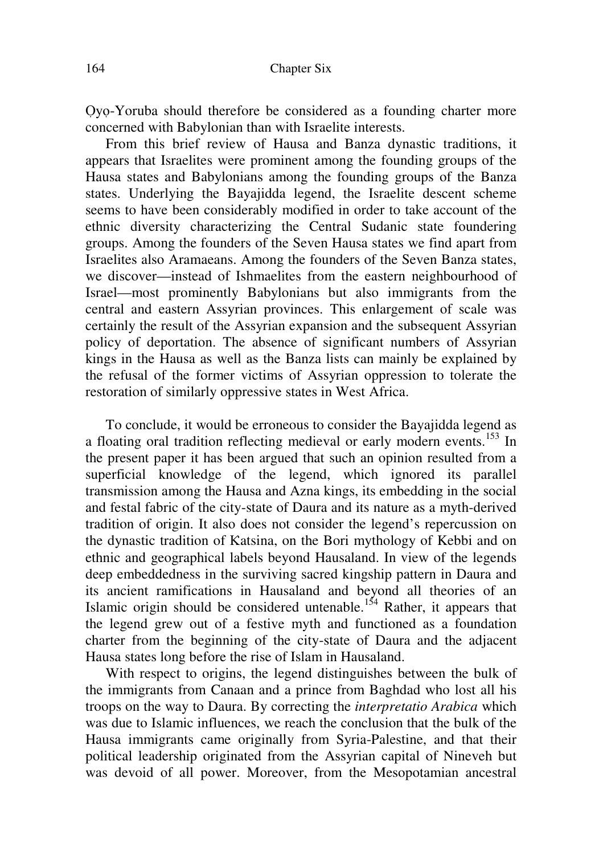Oyo-Yoruba should therefore be considered as a founding charter more concerned with Babylonian than with Israelite interests.

From this brief review of Hausa and Banza dynastic traditions, it appears that Israelites were prominent among the founding groups of the Hausa states and Babylonians among the founding groups of the Banza states. Underlying the Bayajidda legend, the Israelite descent scheme seems to have been considerably modified in order to take account of the ethnic diversity characterizing the Central Sudanic state foundering groups. Among the founders of the Seven Hausa states we find apart from Israelites also Aramaeans. Among the founders of the Seven Banza states, we discover—instead of Ishmaelites from the eastern neighbourhood of Israel—most prominently Babylonians but also immigrants from the central and eastern Assyrian provinces. This enlargement of scale was certainly the result of the Assyrian expansion and the subsequent Assyrian policy of deportation. The absence of significant numbers of Assyrian kings in the Hausa as well as the Banza lists can mainly be explained by the refusal of the former victims of Assyrian oppression to tolerate the restoration of similarly oppressive states in West Africa.

To conclude, it would be erroneous to consider the Bayajidda legend as a floating oral tradition reflecting medieval or early modern events.<sup>153</sup> In the present paper it has been argued that such an opinion resulted from a superficial knowledge of the legend, which ignored its parallel transmission among the Hausa and Azna kings, its embedding in the social and festal fabric of the city-state of Daura and its nature as a myth-derived tradition of origin. It also does not consider the legend's repercussion on the dynastic tradition of Katsina, on the Bori mythology of Kebbi and on ethnic and geographical labels beyond Hausaland. In view of the legends deep embeddedness in the surviving sacred kingship pattern in Daura and its ancient ramifications in Hausaland and beyond all theories of an Islamic origin should be considered untenable.<sup>154</sup> Rather, it appears that the legend grew out of a festive myth and functioned as a foundation charter from the beginning of the city-state of Daura and the adjacent Hausa states long before the rise of Islam in Hausaland.

With respect to origins, the legend distinguishes between the bulk of the immigrants from Canaan and a prince from Baghdad who lost all his troops on the way to Daura. By correcting the *interpretatio Arabica* which was due to Islamic influences, we reach the conclusion that the bulk of the Hausa immigrants came originally from Syria-Palestine, and that their political leadership originated from the Assyrian capital of Nineveh but was devoid of all power. Moreover, from the Mesopotamian ancestral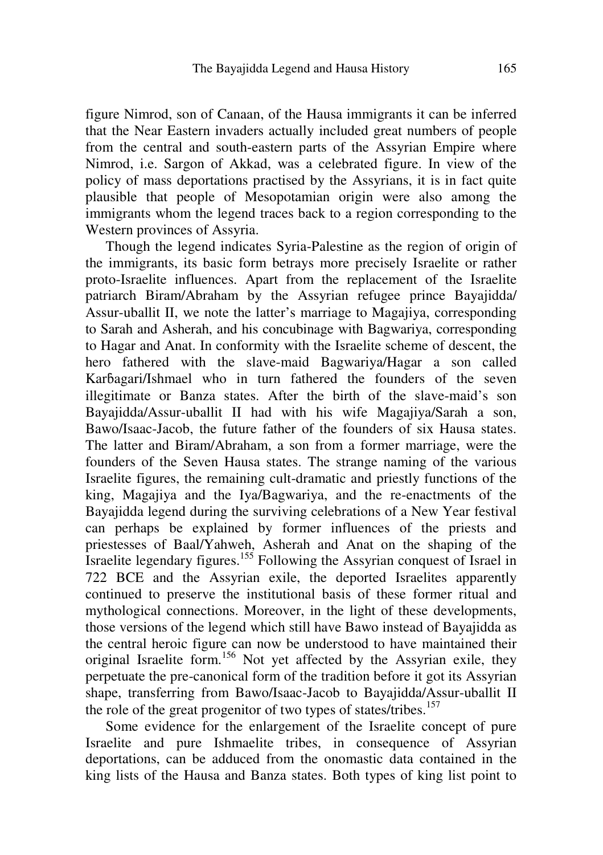figure Nimrod, son of Canaan, of the Hausa immigrants it can be inferred that the Near Eastern invaders actually included great numbers of people from the central and south-eastern parts of the Assyrian Empire where Nimrod, i.e. Sargon of Akkad, was a celebrated figure. In view of the policy of mass deportations practised by the Assyrians, it is in fact quite plausible that people of Mesopotamian origin were also among the immigrants whom the legend traces back to a region corresponding to the Western provinces of Assyria.

Though the legend indicates Syria-Palestine as the region of origin of the immigrants, its basic form betrays more precisely Israelite or rather proto-Israelite influences. Apart from the replacement of the Israelite patriarch Biram/Abraham by the Assyrian refugee prince Bayajidda/ Assur-uballit II, we note the latter's marriage to Magajiya, corresponding to Sarah and Asherah, and his concubinage with Bagwariya, corresponding to Hagar and Anat. In conformity with the Israelite scheme of descent, the hero fathered with the slave-maid Bagwariya/Hagar a son called Karbagari/Ishmael who in turn fathered the founders of the seven illegitimate or Banza states. After the birth of the slave-maid's son Bayajidda/Assur-uballit II had with his wife Magajiya/Sarah a son, Bawo/Isaac-Jacob, the future father of the founders of six Hausa states. The latter and Biram/Abraham, a son from a former marriage, were the founders of the Seven Hausa states. The strange naming of the various Israelite figures, the remaining cult-dramatic and priestly functions of the king, Magajiya and the Iya/Bagwariya, and the re-enactments of the Bayajidda legend during the surviving celebrations of a New Year festival can perhaps be explained by former influences of the priests and priestesses of Baal/Yahweh, Asherah and Anat on the shaping of the Israelite legendary figures.<sup>155</sup> Following the Assyrian conquest of Israel in 722 BCE and the Assyrian exile, the deported Israelites apparently continued to preserve the institutional basis of these former ritual and mythological connections. Moreover, in the light of these developments, those versions of the legend which still have Bawo instead of Bayajidda as the central heroic figure can now be understood to have maintained their original Israelite form.<sup>156</sup> Not yet affected by the Assyrian exile, they perpetuate the pre-canonical form of the tradition before it got its Assyrian shape, transferring from Bawo/Isaac-Jacob to Bayajidda/Assur-uballit II the role of the great progenitor of two types of states/tribes.<sup>157</sup>

Some evidence for the enlargement of the Israelite concept of pure Israelite and pure Ishmaelite tribes, in consequence of Assyrian deportations, can be adduced from the onomastic data contained in the king lists of the Hausa and Banza states. Both types of king list point to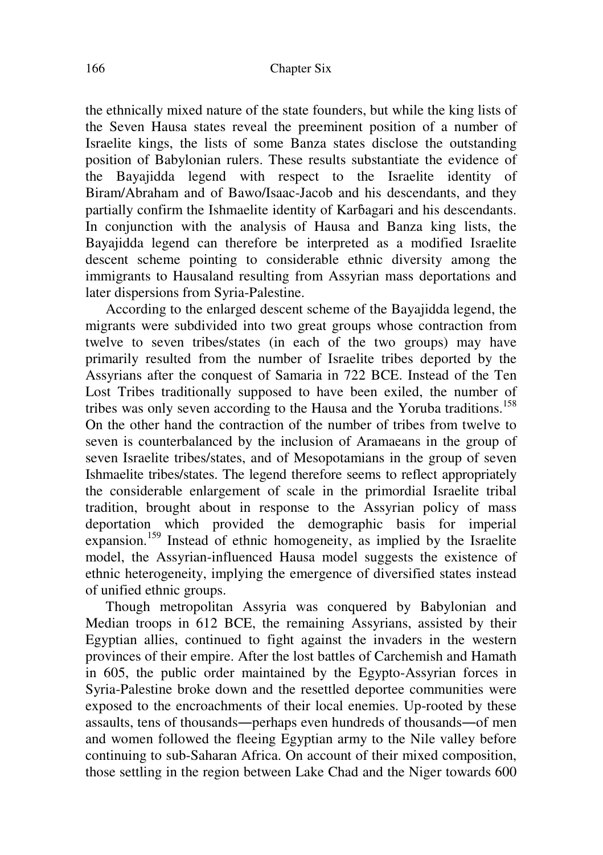the ethnically mixed nature of the state founders, but while the king lists of the Seven Hausa states reveal the preeminent position of a number of Israelite kings, the lists of some Banza states disclose the outstanding position of Babylonian rulers. These results substantiate the evidence of the Bayajidda legend with respect to the Israelite identity of Biram/Abraham and of Bawo/Isaac-Jacob and his descendants, and they partially confirm the Ishmaelite identity of Karbagari and his descendants. In conjunction with the analysis of Hausa and Banza king lists, the Bayajidda legend can therefore be interpreted as a modified Israelite descent scheme pointing to considerable ethnic diversity among the immigrants to Hausaland resulting from Assyrian mass deportations and later dispersions from Syria-Palestine.

According to the enlarged descent scheme of the Bayajidda legend, the migrants were subdivided into two great groups whose contraction from twelve to seven tribes/states (in each of the two groups) may have primarily resulted from the number of Israelite tribes deported by the Assyrians after the conquest of Samaria in 722 BCE. Instead of the Ten Lost Tribes traditionally supposed to have been exiled, the number of tribes was only seven according to the Hausa and the Yoruba traditions.<sup>158</sup> On the other hand the contraction of the number of tribes from twelve to seven is counterbalanced by the inclusion of Aramaeans in the group of seven Israelite tribes/states, and of Mesopotamians in the group of seven Ishmaelite tribes/states. The legend therefore seems to reflect appropriately the considerable enlargement of scale in the primordial Israelite tribal tradition, brought about in response to the Assyrian policy of mass deportation which provided the demographic basis for imperial expansion.<sup>159</sup> Instead of ethnic homogeneity, as implied by the Israelite model, the Assyrian-influenced Hausa model suggests the existence of ethnic heterogeneity, implying the emergence of diversified states instead of unified ethnic groups.

Though metropolitan Assyria was conquered by Babylonian and Median troops in 612 BCE, the remaining Assyrians, assisted by their Egyptian allies, continued to fight against the invaders in the western provinces of their empire. After the lost battles of Carchemish and Hamath in 605, the public order maintained by the Egypto-Assyrian forces in Syria-Palestine broke down and the resettled deportee communities were exposed to the encroachments of their local enemies. Up-rooted by these assaults, tens of thousands―perhaps even hundreds of thousands―of men and women followed the fleeing Egyptian army to the Nile valley before continuing to sub-Saharan Africa. On account of their mixed composition, those settling in the region between Lake Chad and the Niger towards 600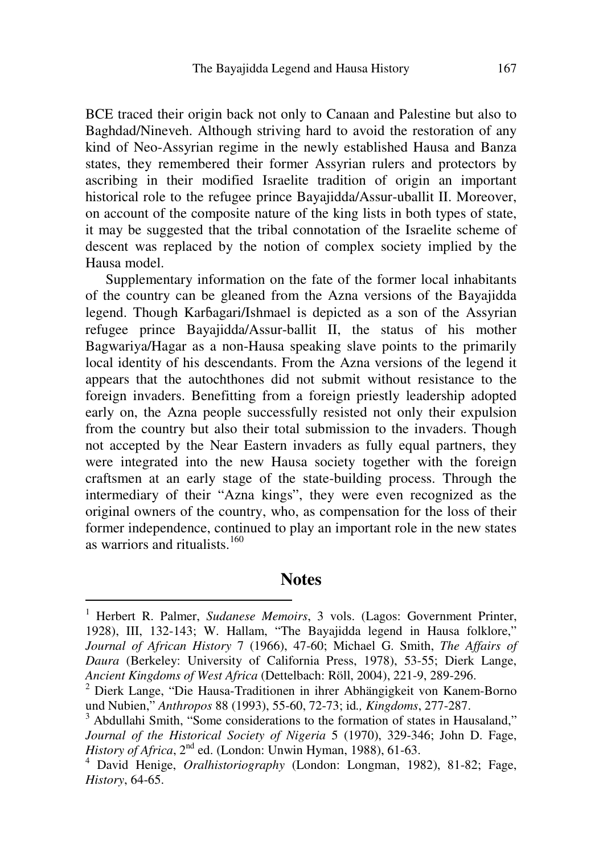BCE traced their origin back not only to Canaan and Palestine but also to Baghdad/Nineveh. Although striving hard to avoid the restoration of any kind of Neo-Assyrian regime in the newly established Hausa and Banza states, they remembered their former Assyrian rulers and protectors by ascribing in their modified Israelite tradition of origin an important historical role to the refugee prince Bayajidda/Assur-uballit II. Moreover, on account of the composite nature of the king lists in both types of state, it may be suggested that the tribal connotation of the Israelite scheme of descent was replaced by the notion of complex society implied by the Hausa model.

Supplementary information on the fate of the former local inhabitants of the country can be gleaned from the Azna versions of the Bayajidda legend. Though Karbagari/Ishmael is depicted as a son of the Assyrian refugee prince Bayajidda/Assur-ballit II, the status of his mother Bagwariya/Hagar as a non-Hausa speaking slave points to the primarily local identity of his descendants. From the Azna versions of the legend it appears that the autochthones did not submit without resistance to the foreign invaders. Benefitting from a foreign priestly leadership adopted early on, the Azna people successfully resisted not only their expulsion from the country but also their total submission to the invaders. Though not accepted by the Near Eastern invaders as fully equal partners, they were integrated into the new Hausa society together with the foreign craftsmen at an early stage of the state-building process. Through the intermediary of their "Azna kings", they were even recognized as the original owners of the country, who, as compensation for the loss of their former independence, continued to play an important role in the new states as warriors and ritualists.<sup>160</sup>

#### **Notes**

<u>.</u>

<sup>&</sup>lt;sup>1</sup> Herbert R. Palmer, *Sudanese Memoirs*, 3 vols. (Lagos: Government Printer, 1928), III, 132-143; W. Hallam, "The Bayajidda legend in Hausa folklore," *Journal of African History* 7 (1966), 47-60; Michael G. Smith, *The Affairs of Daura* (Berkeley: University of California Press, 1978), 53-55; Dierk Lange, *Ancient Kingdoms of West Africa* (Dettelbach: Röll, 2004), 221-9, 289-296.

<sup>&</sup>lt;sup>2</sup> Dierk Lange, "Die Hausa-Traditionen in ihrer Abhängigkeit von Kanem-Borno und Nubien," *Anthropos* 88 (1993), 55-60, 72-73; id*., Kingdoms*, 277-287.

<sup>&</sup>lt;sup>3</sup> Abdullahi Smith, "Some considerations to the formation of states in Hausaland," *Journal of the Historical Society of Nigeria* 5 (1970), 329-346; John D. Fage, *History of Africa*, 2<sup>nd</sup> ed. (London: Unwin Hyman, 1988), 61-63.

<sup>4</sup> David Henige, *Oralhistoriography* (London: Longman, 1982), 81-82; Fage, *History*, 64-65.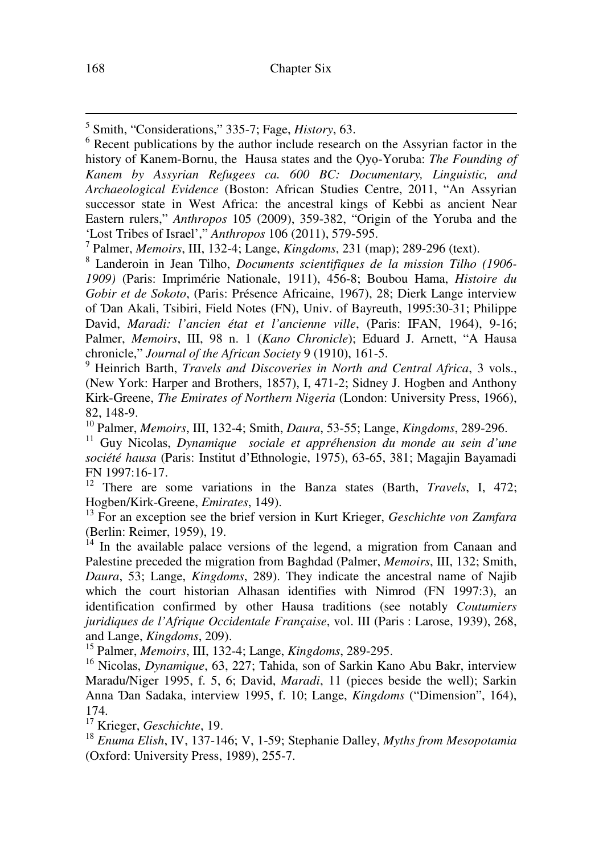5 Smith, "Considerations," 335-7; Fage, *History*, 63.

<sup>6</sup> Recent publications by the author include research on the Assyrian factor in the history of Kanem-Bornu, the Hausa states and the Oyo-Yoruba: *The Founding of Kanem by Assyrian Refugees ca. 600 BC: Documentary, Linguistic, and Archaeological Evidence* (Boston: African Studies Centre, 2011, "An Assyrian successor state in West Africa: the ancestral kings of Kebbi as ancient Near Eastern rulers," *Anthropos* 105 (2009), 359-382, "Origin of the Yoruba and the 'Lost Tribes of Israel'," *Anthropos* 106 (2011), 579-595.

7 Palmer, *Memoirs*, III, 132-4; Lange, *Kingdoms*, 231 (map); 289-296 (text).

8 Landeroin in Jean Tilho, *Documents scientifiques de la mission Tilho (1906- 1909)* (Paris: Imprimérie Nationale, 1911), 456-8; Boubou Hama, *Histoire du Gobir et de Sokoto*, (Paris: Présence Africaine, 1967), 28; Dierk Lange interview of Fan Akali, Tsibiri, Field Notes (FN), Univ. of Bayreuth, 1995:30-31; Philippe David, *Maradi: l'ancien état et l'ancienne ville*, (Paris: IFAN, 1964), 9-16; Palmer, *Memoirs*, III, 98 n. 1 (*Kano Chronicle*); Eduard J. Arnett, "A Hausa chronicle," *Journal of the African Society* 9 (1910), 161-5.

9 Heinrich Barth, *Travels and Discoveries in North and Central Africa*, 3 vols., (New York: Harper and Brothers, 1857), I, 471-2; Sidney J. Hogben and Anthony Kirk-Greene, *The Emirates of Northern Nigeria* (London: University Press, 1966), 82, 148-9.

<sup>10</sup> Palmer, *Memoirs*, III, 132-4; Smith, *Daura*, 53-55; Lange, *Kingdoms*, 289-296.

<sup>11</sup> Guy Nicolas, *Dynamique sociale et appréhension du monde au sein d'une société hausa* (Paris: Institut d'Ethnologie, 1975), 63-65, 381; Magajin Bayamadi FN 1997:16-17.<br><sup>12</sup> There are a

<sup>12</sup> There are some variations in the Banza states (Barth, *Travels*, I, 472; Hogben/Kirk-Greene, *Emirates*, 149).

<sup>13</sup> For an exception see the brief version in Kurt Krieger, *Geschichte von Zamfara* (Berlin: Reimer, 1959), 19.

 $14$  In the available palace versions of the legend, a migration from Canaan and Palestine preceded the migration from Baghdad (Palmer, *Memoirs*, III, 132; Smith, *Daura*, 53; Lange, *Kingdoms*, 289). They indicate the ancestral name of Najib which the court historian Alhasan identifies with Nimrod (FN 1997:3), an identification confirmed by other Hausa traditions (see notably *Coutumiers juridiques de l'Afrique Occidentale Française*, vol. III (Paris : Larose, 1939), 268, and Lange, *Kingdoms*, 209).

<sup>15</sup> Palmer, *Memoirs*, III, 132-4; Lange, *Kingdoms*, 289-295.

<sup>16</sup> Nicolas, *Dynamique*, 63, 227; Tahida, son of Sarkin Kano Abu Bakr, interview Maradu/Niger 1995, f. 5, 6; David, *Maradi*, 11 (pieces beside the well); Sarkin Anna Fan Sadaka, interview 1995, f. 10; Lange, *Kingdoms* ("Dimension", 164), 174.

<sup>17</sup> Krieger, *Geschichte*, 19.

<sup>18</sup> *Enuma Elish*, IV, 137-146; V, 1-59; Stephanie Dalley, *Myths from Mesopotamia* (Oxford: University Press, 1989), 255-7.

 $\overline{a}$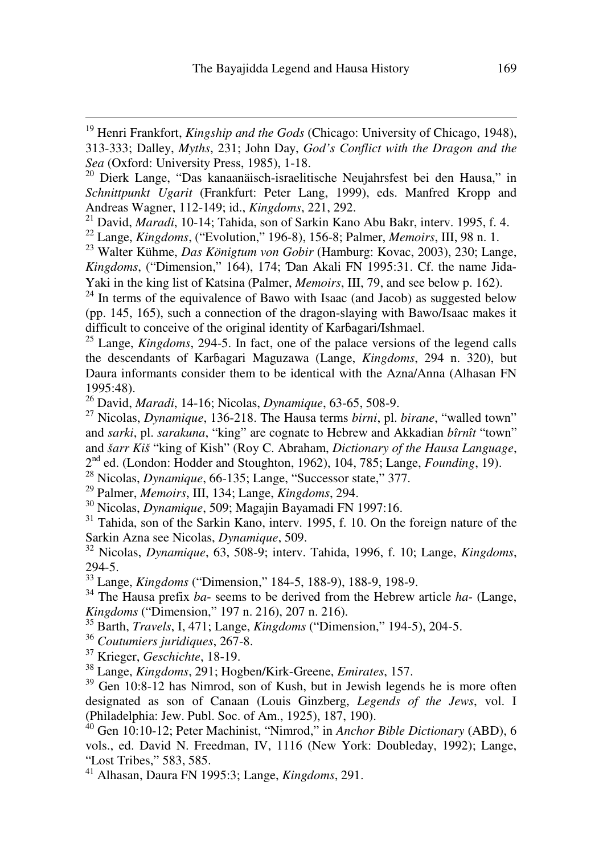<sup>26</sup> David, *Maradi*, 14-16; Nicolas, *Dynamique*, 63-65, 508-9.

<sup>27</sup> Nicolas, *Dynamique*, 136-218. The Hausa terms *birni*, pl. *birane*, "walled town" and *sarki*, pl. *sarakuna*, "king" are cognate to Hebrew and Akkadian *bîrnît* "town" and y*arr Ki*y "king of Kish" (Roy C. Abraham, *Dictionary of the Hausa Language*, 2 nd ed. (London: Hodder and Stoughton, 1962), 104, 785; Lange, *Founding*, 19).

<sup>28</sup> Nicolas, *Dynamique*, 66-135; Lange, "Successor state," 377.

<sup>29</sup> Palmer, *Memoirs*, III, 134; Lange, *Kingdoms*, 294.

<sup>30</sup> Nicolas, *Dynamique*, 509; Magajin Bayamadi FN 1997:16.

<sup>31</sup> Tahida, son of the Sarkin Kano, interv. 1995, f. 10. On the foreign nature of the Sarkin Azna see Nicolas, *Dynamique*, 509.

<sup>32</sup> Nicolas, *Dynamique*, 63, 508-9; interv. Tahida, 1996, f. 10; Lange, *Kingdoms*, 294-5.

<sup>33</sup> Lange, *Kingdoms* ("Dimension," 184-5, 188-9), 188-9, 198-9.

<sup>34</sup> The Hausa prefix *ba*- seems to be derived from the Hebrew article *ha-* (Lange, *Kingdoms* ("Dimension," 197 n. 216), 207 n. 216).

<sup>35</sup> Barth, *Travels*, I, 471; Lange, *Kingdoms* ("Dimension," 194-5), 204-5.

<sup>36</sup> *Coutumiers juridiques*, 267-8.

<sup>37</sup> Krieger, *Geschichte*, 18-19.

 $\overline{a}$ 

<sup>38</sup> Lange, *Kingdoms*, 291; Hogben/Kirk-Greene, *Emirates*, 157.

 $39$  Gen 10:8-12 has Nimrod, son of Kush, but in Jewish legends he is more often designated as son of Canaan (Louis Ginzberg, *Legends of the Jews*, vol. I (Philadelphia: Jew. Publ. Soc. of Am., 1925), 187, 190).

<sup>40</sup> Gen 10:10-12; Peter Machinist, "Nimrod," in *Anchor Bible Dictionary* (ABD), 6 vols., ed. David N. Freedman, IV, 1116 (New York: Doubleday, 1992); Lange, "Lost Tribes," 583, 585.

<sup>41</sup> Alhasan, Daura FN 1995:3; Lange, *Kingdoms*, 291.

<sup>19</sup> Henri Frankfort, *Kingship and the Gods* (Chicago: University of Chicago, 1948), 313-333; Dalley, *Myths*, 231; John Day, *God's Conflict with the Dragon and the Sea* (Oxford: University Press, 1985), 1-18.

<sup>&</sup>lt;sup>20</sup> Dierk Lange, "Das kanaanäisch-israelitische Neujahrsfest bei den Hausa," in *Schnittpunkt Ugarit* (Frankfurt: Peter Lang, 1999), eds. Manfred Kropp and Andreas Wagner, 112-149; id., *Kingdoms*, 221, 292.

<sup>21</sup> David, *Maradi*, 10-14; Tahida, son of Sarkin Kano Abu Bakr, interv. 1995, f. 4.

<sup>22</sup> Lange, *Kingdoms*, ("Evolution," 196-8), 156-8; Palmer, *Memoirs*, III, 98 n. 1.

<sup>23</sup> Walter Kühme, *Das Königtum von Gobir* (Hamburg: Kovac, 2003), 230; Lange, *Kingdoms*, ("Dimension," 164), 174; Dan Akali FN 1995:31. Cf. the name Jida-Yaki in the king list of Katsina (Palmer, *Memoirs*, III, 79, and see below p. 162).

 $24$  In terms of the equivalence of Bawo with Isaac (and Jacob) as suggested below (pp. 145, 165), such a connection of the dragon-slaying with Bawo/Isaac makes it difficult to conceive of the original identity of Karbagari/Ishmael.

<sup>25</sup> Lange, *Kingdoms*, 294-5. In fact, one of the palace versions of the legend calls the descendants of Karbagari Maguzawa (Lange, *Kingdoms*, 294 n. 320), but Daura informants consider them to be identical with the Azna/Anna (Alhasan FN  $1995.48$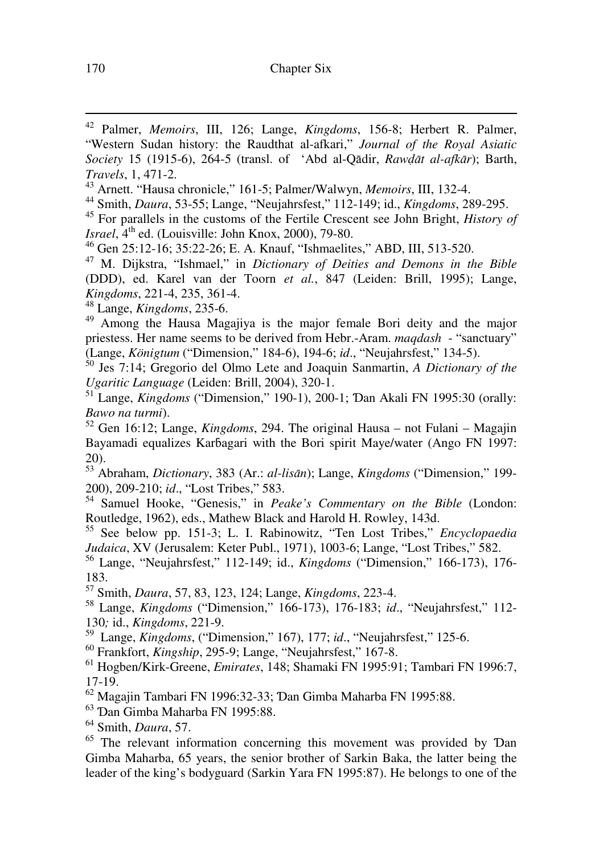<sup>42</sup> Palmer, *Memoirs*, III, 126; Lange, *Kingdoms*, 156-8; Herbert R. Palmer, "Western Sudan history: the Raudthat al-afkari," *Journal of the Royal Asiatic Society* 15 (1915-6), 264-5 (transl. of 'Abd al-Qādir, *Rawdāt al-afkār*); Barth, *Travels*, 1, 471-2.

<sup>43</sup> Arnett. "Hausa chronicle," 161-5; Palmer/Walwyn, *Memoirs*, III, 132-4.

<sup>44</sup> Smith, *Daura*, 53-55; Lange, "Neujahrsfest," 112-149; id., *Kingdoms*, 289-295.

<sup>45</sup> For parallels in the customs of the Fertile Crescent see John Bright, *History of Israel*, <sup>4th</sup> ed. (Louisville: John Knox, 2000), 79-80.

<sup>46</sup> Gen 25:12-16; 35:22-26; E. A. Knauf, "Ishmaelites," ABD, III, 513-520.

<sup>47</sup> M. Dijkstra, "Ishmael," in *Dictionary of Deities and Demons in the Bible*  (DDD), ed. Karel van der Toorn *et al.*, 847 (Leiden: Brill, 1995); Lange, *Kingdoms*, 221-4, 235, 361-4.

<sup>48</sup> Lange, *Kingdoms*, 235-6.

<sup>49</sup> Among the Hausa Magajiya is the major female Bori deity and the major priestess. Her name seems to be derived from Hebr.-Aram. *maqdash* - "sanctuary" (Lange, *Königtum* ("Dimension," 184-6), 194-6; *id*., "Neujahrsfest," 134-5).

<sup>50</sup> Jes 7:14; Gregorio del Olmo Lete and Joaquin Sanmartin, *A Dictionary of the Ugaritic Language* (Leiden: Brill, 2004), 320-1.

<sup>51</sup> Lange, *Kingdoms* ("Dimension," 190-1), 200-1; Fan Akali FN 1995:30 (orally: *Bawo na turmi*).

<sup>52</sup> Gen 16:12; Lange, *Kingdoms*, 294. The original Hausa – not Fulani – Magajin Bayamadi equalizes Karbagari with the Bori spirit Maye/water (Ango FN 1997: 20).

<sup>53</sup> Abraham, *Dictionary*, 383 (Ar.: *al-lisān*); Lange, *Kingdoms* ("Dimension," 199-200), 209-210; *id*., "Lost Tribes," 583.

<sup>54</sup> Samuel Hooke, "Genesis," in *Peake's Commentary on the Bible* (London: Routledge, 1962), eds., Mathew Black and Harold H. Rowley, 143d.

<sup>55</sup> See below pp. 151-3; L. I. Rabinowitz, "Ten Lost Tribes," *Encyclopaedia Judaica*, XV (Jerusalem: Keter Publ., 1971), 1003-6; Lange, "Lost Tribes," 582.

<sup>56</sup> Lange, "Neujahrsfest," 112-149; id., *Kingdoms* ("Dimension," 166-173), 176- 183.

<sup>57</sup> Smith, *Daura*, 57, 83, 123, 124; Lange, *Kingdoms*, 223-4.

<sup>58</sup> Lange, *Kingdoms* ("Dimension," 166-173), 176-183; *id*., "Neujahrsfest," 112- 130*;* id., *Kingdoms*, 221-9.

<sup>59</sup> Lange, *Kingdoms*, ("Dimension," 167), 177; *id*., "Neujahrsfest," 125-6.

<sup>60</sup> Frankfort, *Kingship*, 295-9; Lange, "Neujahrsfest," 167-8.

<sup>61</sup> Hogben/Kirk-Greene, *Emirates*, 148; Shamaki FN 1995:91; Tambari FN 1996:7, 17-19.

 $62$  Magajin Tambari FN 1996:32-33; Dan Gimba Maharba FN 1995:88.

 $63$  Dan Gimba Maharba FN 1995:88.

<sup>64</sup> Smith, *Daura*, 57.

<sup>65</sup> The relevant information concerning this movement was provided by Dan Gimba Maharba, 65 years, the senior brother of Sarkin Baka, the latter being the leader of the king's bodyguard (Sarkin Yara FN 1995:87). He belongs to one of the

 $\overline{a}$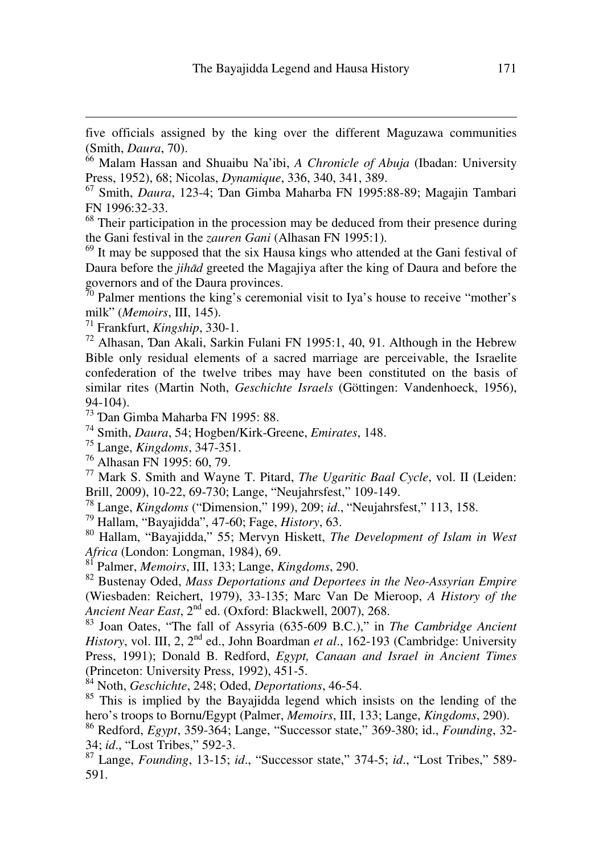five officials assigned by the king over the different Maguzawa communities (Smith, *Daura*, 70).

<sup>66</sup> Malam Hassan and Shuaibu Na'ibi, *A Chronicle of Abuja* (Ibadan: University Press, 1952), 68; Nicolas, *Dynamique*, 336, 340, 341, 389.

<sup>67</sup> Smith, *Daura*, 123-4; Fan Gimba Maharba FN 1995:88-89; Magajin Tambari FN 1996:32-33.

 $68$  Their participation in the procession may be deduced from their presence during the Gani festival in the *zauren Gani* (Alhasan FN 1995:1).

<sup>69</sup> It may be supposed that the six Hausa kings who attended at the Gani festival of Daura before the *jihad* greeted the Magajiya after the king of Daura and before the governors and of the Daura provinces.

 $\frac{70}{10}$  Palmer mentions the king's ceremonial visit to Iya's house to receive "mother's milk" (*Memoirs*, III, 145).

<sup>71</sup> Frankfurt, *Kingship*, 330-1.

 $\overline{a}$ 

 $72$  Alhasan, Dan Akali, Sarkin Fulani FN 1995:1, 40, 91. Although in the Hebrew Bible only residual elements of a sacred marriage are perceivable, the Israelite confederation of the twelve tribes may have been constituted on the basis of similar rites (Martin Noth, *Geschichte Israels* (Göttingen: Vandenhoeck, 1956), 94-104).

 $73$  Dan Gimba Maharba FN 1995: 88.

<sup>74</sup> Smith, *Daura*, 54; Hogben/Kirk-Greene, *Emirates*, 148.

<sup>75</sup> Lange, *Kingdoms*, 347-351.

<sup>76</sup> Alhasan FN 1995: 60, 79.

<sup>77</sup> Mark S. Smith and Wayne T. Pitard, *The Ugaritic Baal Cycle*, vol. II (Leiden: Brill, 2009), 10-22, 69-730; Lange, "Neujahrsfest," 109-149.

<sup>78</sup> Lange, *Kingdoms* ("Dimension," 199), 209; *id*., "Neujahrsfest," 113, 158.

<sup>79</sup> Hallam, "Bayajidda", 47-60; Fage, *History*, 63.

<sup>80</sup> Hallam, "Bayajidda," 55; Mervyn Hiskett, *The Development of Islam in West Africa* (London: Longman, 1984), 69.

<sup>81</sup> Palmer, *Memoirs*, III, 133; Lange, *Kingdoms*, 290.

<sup>82</sup> Bustenay Oded, *Mass Deportations and Deportees in the Neo-Assyrian Empire* (Wiesbaden: Reichert, 1979), 33-135; Marc Van De Mieroop, *A History of the Ancient Near East*, 2nd ed. (Oxford: Blackwell, 2007), 268.

<sup>83</sup> Joan Oates, "The fall of Assyria (635-609 B.C.)," in *The Cambridge Ancient History*, vol. III, 2, 2<sup>nd</sup> ed., John Boardman *et al.*, 162-193 (Cambridge: University Press, 1991); Donald B. Redford, *Egypt, Canaan and Israel in Ancient Times* (Princeton: University Press, 1992), 451-5.

<sup>84</sup> Noth, *Geschichte*, 248; Oded, *Deportations*, 46-54.

<sup>85</sup> This is implied by the Bayajidda legend which insists on the lending of the hero's troops to Bornu/Egypt (Palmer, *Memoirs*, III, 133; Lange, *Kingdoms*, 290).

<sup>86</sup> Redford, *Egypt*, 359-364; Lange, "Successor state," 369-380; id., *Founding*, 32- 34; *id*., "Lost Tribes," 592-3.

<sup>87</sup> Lange, *Founding*, 13-15; *id*., "Successor state," 374-5; *id*., "Lost Tribes," 589- 591.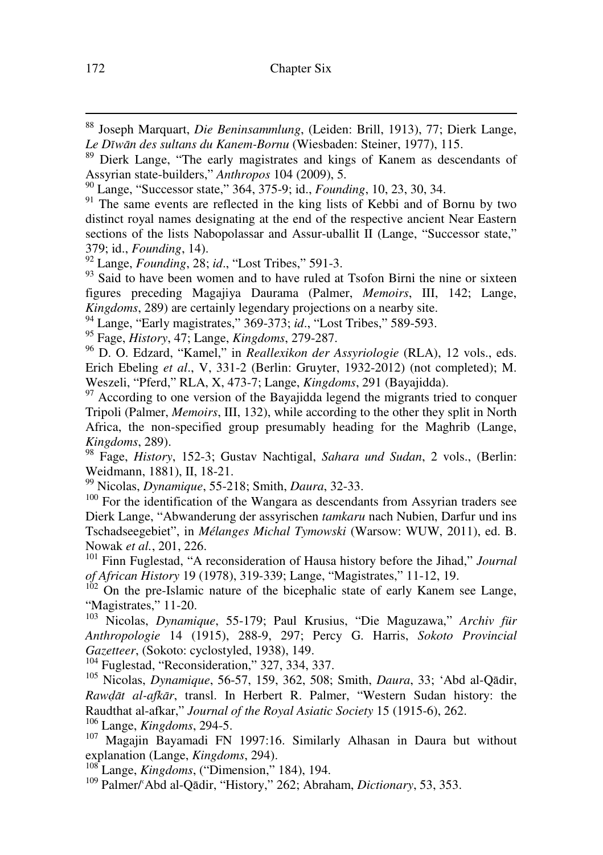- <sup>88</sup> Joseph Marquart, *Die Beninsammlung*, (Leiden: Brill, 1913), 77; Dierk Lange, Le Dīwān des sultans du Kanem-Bornu (Wiesbaden: Steiner, 1977), 115.
- <sup>89</sup> Dierk Lange, "The early magistrates and kings of Kanem as descendants of Assyrian state-builders," *Anthropos* 104 (2009), 5.
- <sup>90</sup> Lange, "Successor state," 364, 375-9; id., *Founding*, 10, 23, 30, 34.

<sup>91</sup> The same events are reflected in the king lists of Kebbi and of Bornu by two distinct royal names designating at the end of the respective ancient Near Eastern sections of the lists Nabopolassar and Assur-uballit II (Lange, "Successor state," 379; id., *Founding*, 14).

<sup>92</sup> Lange, *Founding*, 28; *id*., "Lost Tribes," 591-3.

 $93$  Said to have been women and to have ruled at Tsofon Birni the nine or sixteen figures preceding Magajiya Daurama (Palmer, *Memoirs*, III, 142; Lange, *Kingdoms*, 289) are certainly legendary projections on a nearby site.

<sup>94</sup> Lange, "Early magistrates," 369-373; *id*., "Lost Tribes," 589-593.

<sup>95</sup> Fage, *History*, 47; Lange, *Kingdoms*, 279-287.

<sup>96</sup> D. O. Edzard, "Kamel," in *Reallexikon der Assyriologie* (RLA), 12 vols., eds. Erich Ebeling *et al*., V, 331-2 (Berlin: Gruyter, 1932-2012) (not completed); M. Weszeli, "Pferd," RLA, X, 473-7; Lange, *Kingdoms*, 291 (Bayajidda).

 $97$  According to one version of the Bayajidda legend the migrants tried to conquer Tripoli (Palmer, *Memoirs*, III, 132), while according to the other they split in North Africa, the non-specified group presumably heading for the Maghrib (Lange, *Kingdoms*, 289).

<sup>98</sup> Fage, *History*, 152-3; Gustav Nachtigal, *Sahara und Sudan*, 2 vols., (Berlin: Weidmann, 1881), II, 18-21.

<sup>99</sup> Nicolas, *Dynamique*, 55-218; Smith, *Daura*, 32-33.

 $100$  For the identification of the Wangara as descendants from Assyrian traders see Dierk Lange, "Abwanderung der assyrischen *tamkaru* nach Nubien, Darfur und ins Tschadseegebiet", in *Mélanges Michal Tymowski* (Warsow: WUW, 2011), ed. B. Nowak *et al.*, 201, 226.

<sup>101</sup> Finn Fuglestad, "A reconsideration of Hausa history before the Jihad," *Journal of African History* 19 (1978), 319-339; Lange, "Magistrates," 11-12, 19.

 $102$  On the pre-Islamic nature of the bicephalic state of early Kanem see Lange, "Magistrates," 11-20.

<sup>103</sup> Nicolas, *Dynamique*, 55-179; Paul Krusius, "Die Maguzawa," *Archiv für Anthropologie* 14 (1915), 288-9, 297; Percy G. Harris, *Sokoto Provincial Gazetteer*, (Sokoto: cyclostyled, 1938), 149.

<sup>104</sup> Fuglestad, "Reconsideration," 327, 334, 337.

<sup>105</sup> Nicolas, *Dynamique*, 56-57, 159, 362, 508; Smith, *Daura*, 33; 'Abd al-Qādir, *Rawdāt al-afkār*, transl. In Herbert R. Palmer, "Western Sudan history: the Raudthat al-afkar," *Journal of the Royal Asiatic Society* 15 (1915-6), 262. <sup>106</sup> Lange, *Kingdoms*, 294-5.

<sup>107</sup> Magajin Bayamadi FN 1997:16. Similarly Alhasan in Daura but without explanation (Lange, *Kingdoms*, 294).

<sup>108</sup> Lange, *Kingdoms*, ("Dimension," 184), 194.

<sup>109</sup> Palmer/'Abd al-Qādir, "History," 262; Abraham, *Dictionary*, 53, 353.

 $\overline{a}$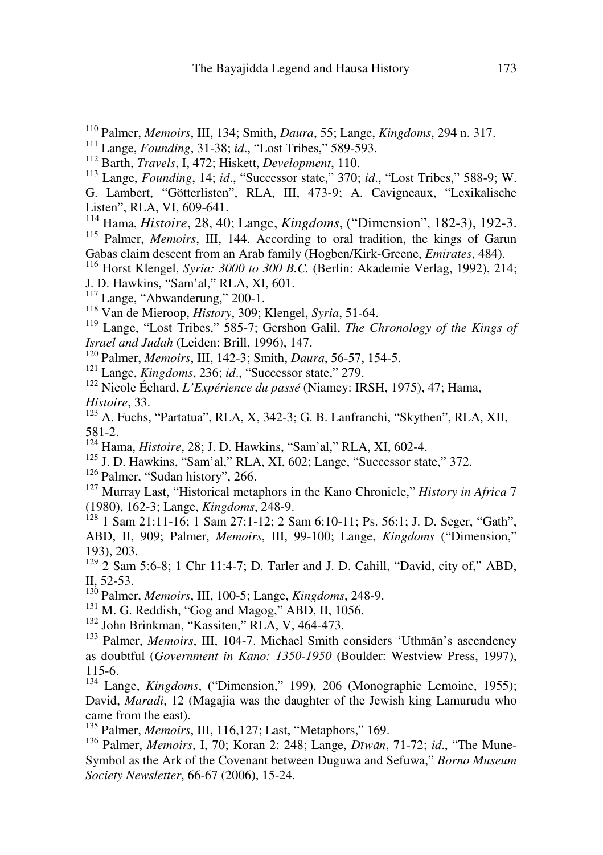<sup>114</sup> Hama, *Histoire*, 28, 40; Lange, *Kingdoms*, ("Dimension", 182-3), 192-3.

<sup>115</sup> Palmer, *Memoirs*, III, 144. According to oral tradition, the kings of Garun Gabas claim descent from an Arab family (Hogben/Kirk-Greene, *Emirates*, 484).

- <sup>116</sup> Horst Klengel, *Syria: 3000 to 300 B.C.* (Berlin: Akademie Verlag, 1992), 214; J. D. Hawkins, "Sam'al," RLA, XI, 601.
- $117$  Lange, "Abwanderung," 200-1.

 $\overline{a}$ 

<sup>118</sup> Van de Mieroop, *History*, 309; Klengel, *Syria*, 51-64.

<sup>119</sup> Lange, "Lost Tribes," 585-7; Gershon Galil, *The Chronology of the Kings of Israel and Judah* (Leiden: Brill, 1996), 147.

<sup>120</sup> Palmer, *Memoirs*, III, 142-3; Smith, *Daura*, 56-57, 154-5.

<sup>121</sup> Lange, *Kingdoms*, 236; *id*., "Successor state," 279.

<sup>122</sup> Nicole Échard, *L'Expérience du passé* (Niamey: IRSH, 1975), 47; Hama, *Histoire*, 33.

<sup>123</sup> A. Fuchs, "Partatua", RLA, X, 342-3; G. B. Lanfranchi, "Skythen", RLA, XII, 581-2.

<sup>124</sup> Hama, *Histoire*, 28; J. D. Hawkins, "Sam'al," RLA, XI, 602-4.

<sup>125</sup> J. D. Hawkins, "Sam'al," RLA, XI, 602; Lange, "Successor state," 372.

<sup>126</sup> Palmer, "Sudan history", 266.

<sup>127</sup> Murray Last, "Historical metaphors in the Kano Chronicle," *History in Africa* 7 (1980), 162-3; Lange, *Kingdoms*, 248-9.

 $128$  1 Sam 21:11-16; 1 Sam 27:1-12; 2 Sam 6:10-11; Ps. 56:1; J. D. Seger, "Gath", ABD, II, 909; Palmer, *Memoirs*, III, 99-100; Lange, *Kingdoms* ("Dimension," 193), 203.

 $129$  2 Sam 5:6-8; 1 Chr 11:4-7; D. Tarler and J. D. Cahill, "David, city of," ABD, II, 52-53.

<sup>130</sup> Palmer, *Memoirs*, III, 100-5; Lange, *Kingdoms*, 248-9.

 $131$  M. G. Reddish, "Gog and Magog," ABD, II, 1056.

<sup>132</sup> John Brinkman, "Kassiten," RLA, V, 464-473.

<sup>133</sup> Palmer, *Memoirs*, III, 104-7. Michael Smith considers 'Uthman's ascendency as doubtful (*Government in Kano: 1350-1950* (Boulder: Westview Press, 1997), 115-6.

<sup>134</sup> Lange, *Kingdoms*, ("Dimension," 199), 206 (Monographie Lemoine, 1955); David, *Maradi*, 12 (Magajia was the daughter of the Jewish king Lamurudu who came from the east).

<sup>135</sup> Palmer, *Memoirs*, III, 116,127; Last, "Metaphors," 169.

<sup>136</sup> Palmer, *Memoirs*, I, 70; Koran 2: 248; Lange, *Dīwān*, 71-72; *id.*, "The Mune-Symbol as the Ark of the Covenant between Duguwa and Sefuwa," *Borno Museum Society Newsletter*, 66-67 (2006), 15-24.

<sup>110</sup> Palmer, *Memoirs*, III, 134; Smith, *Daura*, 55; Lange, *Kingdoms*, 294 n. 317.

<sup>111</sup> Lange, *Founding*, 31-38; *id*., "Lost Tribes," 589-593.

<sup>112</sup> Barth, *Travels*, I, 472; Hiskett, *Development*, 110.

<sup>113</sup> Lange, *Founding*, 14; *id*., "Successor state," 370; *id*., "Lost Tribes," 588-9; W. G. Lambert, "Götterlisten", RLA, III, 473-9; A. Cavigneaux, "Lexikalische Listen", RLA, VI, 609-641.<br> $\frac{114}{114}$  Heme Histoire 28, 40